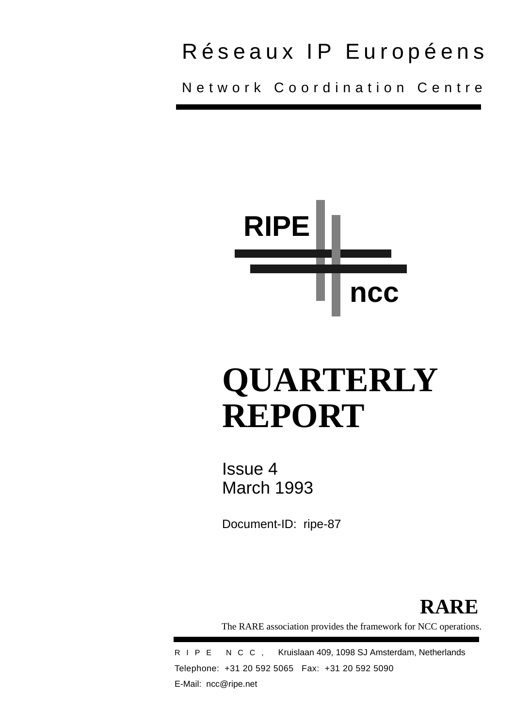## Réseaux IP Européens

Network Coordination Centre



# **QUARTERLY REPORT**

Issue 4 March 1993

Document-ID: ripe-87



The RARE association provides the framework for NCC operations.

RIPE NCC, Kruislaan 409, 1098 SJ Amsterdam, Netherlands Telephone: +31 20 592 5065 Fax: +31 20 592 5090 E-Mail: ncc@ripe.net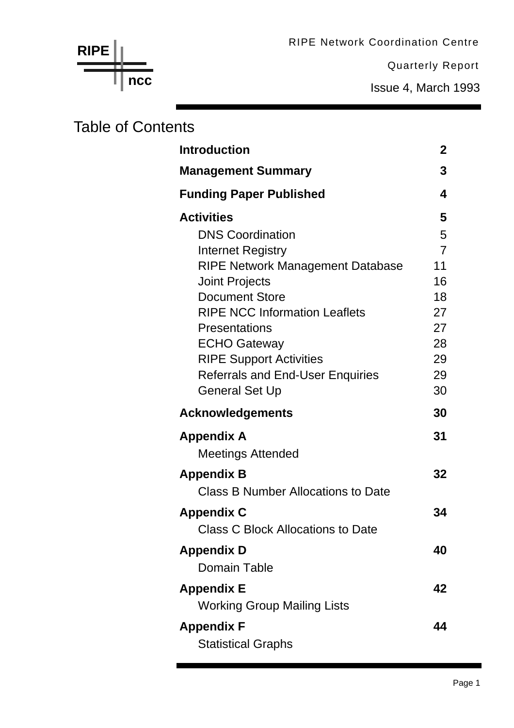RIPE Network Coordination Centre

Quarterly Report

Issue 4, March 1993

## Table of Contents

| <b>Introduction</b>                       | 2              |
|-------------------------------------------|----------------|
| <b>Management Summary</b>                 | 3              |
| <b>Funding Paper Published</b>            | 4              |
| <b>Activities</b>                         | 5              |
| <b>DNS Coordination</b>                   | 5              |
| <b>Internet Registry</b>                  | $\overline{7}$ |
| <b>RIPE Network Management Database</b>   | 11             |
| <b>Joint Projects</b>                     | 16             |
| <b>Document Store</b>                     | 18             |
| <b>RIPE NCC Information Leaflets</b>      | 27             |
| <b>Presentations</b>                      | 27             |
| <b>ECHO Gateway</b>                       | 28             |
| <b>RIPE Support Activities</b>            | 29             |
| <b>Referrals and End-User Enquiries</b>   | 29             |
| <b>General Set Up</b>                     | 30             |
| <b>Acknowledgements</b>                   | 30             |
| <b>Appendix A</b>                         | 31             |
| <b>Meetings Attended</b>                  |                |
| <b>Appendix B</b>                         | 32             |
| <b>Class B Number Allocations to Date</b> |                |
| <b>Appendix C</b>                         | 34             |
| <b>Class C Block Allocations to Date</b>  |                |
| <b>Appendix D</b>                         | 40             |
| <b>Domain Table</b>                       |                |
| <b>Appendix E</b>                         | 42             |
| <b>Working Group Mailing Lists</b>        |                |
| <b>Appendix F</b>                         | 44             |
| <b>Statistical Graphs</b>                 |                |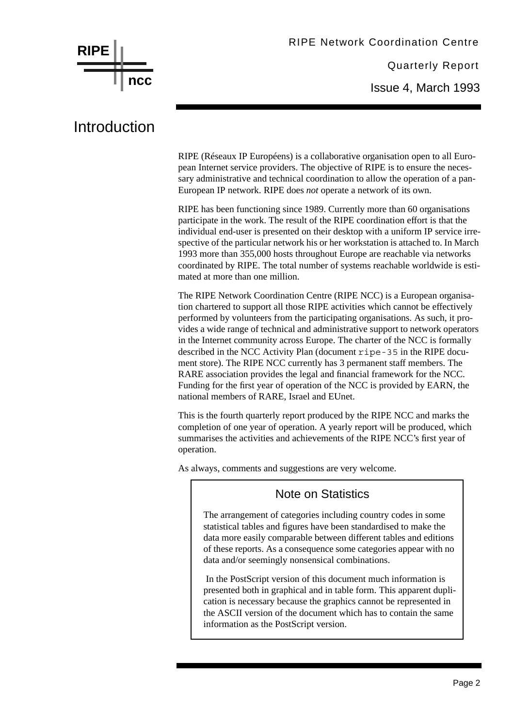

### Introduction

RIPE (Réseaux IP Européens) is a collaborative organisation open to all European Internet service providers. The objective of RIPE is to ensure the necessary administrative and technical coordination to allow the operation of a pan-European IP network. RIPE does *not* operate a network of its own.

RIPE has been functioning since 1989. Currently more than 60 organisations participate in the work. The result of the RIPE coordination effort is that the individual end-user is presented on their desktop with a uniform IP service irrespective of the particular network his or her workstation is attached to. In March 1993 more than 355,000 hosts throughout Europe are reachable via networks coordinated by RIPE. The total number of systems reachable worldwide is estimated at more than one million.

The RIPE Network Coordination Centre (RIPE NCC) is a European organisation chartered to support all those RIPE activities which cannot be effectively performed by volunteers from the participating organisations. As such, it provides a wide range of technical and administrative support to network operators in the Internet community across Europe. The charter of the NCC is formally described in the NCC Activity Plan (document ripe-35 in the RIPE document store). The RIPE NCC currently has 3 permanent staff members. The RARE association provides the legal and financial framework for the NCC. Funding for the first year of operation of the NCC is provided by EARN, the national members of RARE, Israel and EUnet.

This is the fourth quarterly report produced by the RIPE NCC and marks the completion of one year of operation. A yearly report will be produced, which summarises the activities and achievements of the RIPE NCC's first year of operation.

As always, comments and suggestions are very welcome.

#### Note on Statistics

The arrangement of categories including country codes in some statistical tables and figures have been standardised to make the data more easily comparable between different tables and editions of these reports. As a consequence some categories appear with no data and/or seemingly nonsensical combinations.

 In the PostScript version of this document much information is presented both in graphical and in table form. This apparent duplication is necessary because the graphics cannot be represented in the ASCII version of the document which has to contain the same information as the PostScript version.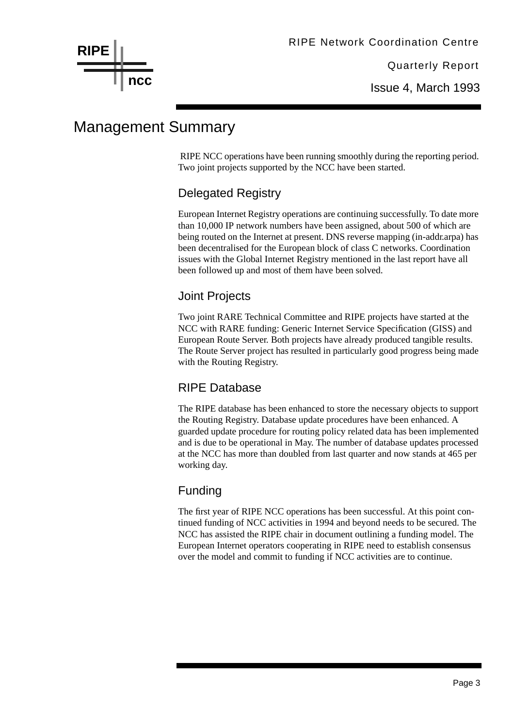

Issue 4, March 1993

## Management Summary

 RIPE NCC operations have been running smoothly during the reporting period. Two joint projects supported by the NCC have been started.

#### Delegated Registry

European Internet Registry operations are continuing successfully. To date more than 10,000 IP network numbers have been assigned, about 500 of which are being routed on the Internet at present. DNS reverse mapping (in-addr.arpa) has been decentralised for the European block of class C networks. Coordination issues with the Global Internet Registry mentioned in the last report have all been followed up and most of them have been solved.

#### Joint Projects

Two joint RARE Technical Committee and RIPE projects have started at the NCC with RARE funding: Generic Internet Service Specification (GISS) and European Route Server. Both projects have already produced tangible results. The Route Server project has resulted in particularly good progress being made with the Routing Registry.

#### RIPE Database

The RIPE database has been enhanced to store the necessary objects to support the Routing Registry. Database update procedures have been enhanced. A guarded update procedure for routing policy related data has been implemented and is due to be operational in May. The number of database updates processed at the NCC has more than doubled from last quarter and now stands at 465 per working day.

#### Funding

The first year of RIPE NCC operations has been successful. At this point continued funding of NCC activities in 1994 and beyond needs to be secured. The NCC has assisted the RIPE chair in document outlining a funding model. The European Internet operators cooperating in RIPE need to establish consensus over the model and commit to funding if NCC activities are to continue.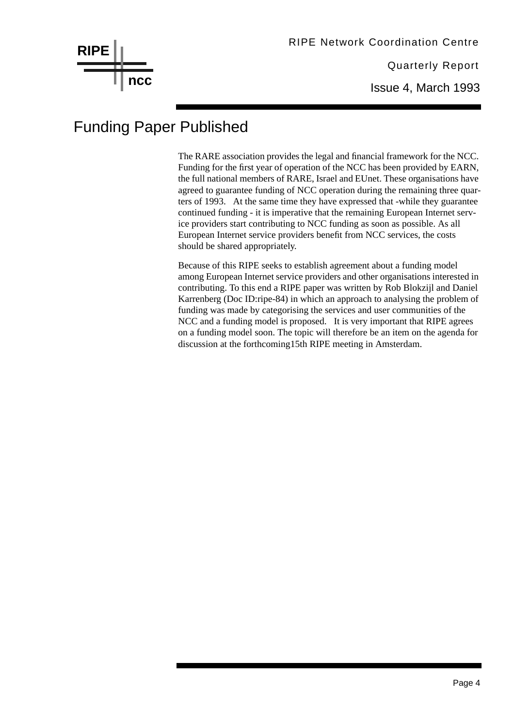## **RIPE ncc**

Quarterly Report Issue 4, March 1993

## Funding Paper Published

The RARE association provides the legal and financial framework for the NCC. Funding for the first year of operation of the NCC has been provided by EARN, the full national members of RARE, Israel and EUnet. These organisations have agreed to guarantee funding of NCC operation during the remaining three quarters of 1993. At the same time they have expressed that -while they guarantee continued funding - it is imperative that the remaining European Internet service providers start contributing to NCC funding as soon as possible. As all European Internet service providers benefit from NCC services, the costs should be shared appropriately.

Because of this RIPE seeks to establish agreement about a funding model among European Internet service providers and other organisations interested in contributing. To this end a RIPE paper was written by Rob Blokzijl and Daniel Karrenberg (Doc ID:ripe-84) in which an approach to analysing the problem of funding was made by categorising the services and user communities of the NCC and a funding model is proposed. It is very important that RIPE agrees on a funding model soon. The topic will therefore be an item on the agenda for discussion at the forthcoming15th RIPE meeting in Amsterdam.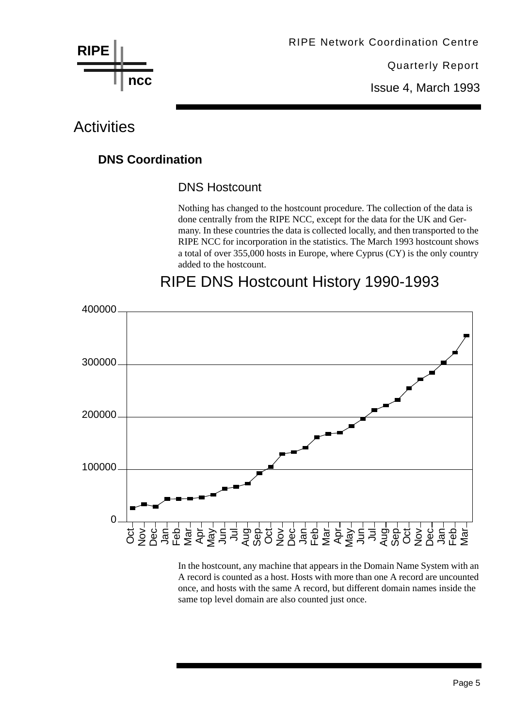

Issue 4, March 1993

### **Activities**

#### **DNS Coordination**

#### DNS Hostcount

Nothing has changed to the hostcount procedure. The collection of the data is done centrally from the RIPE NCC, except for the data for the UK and Germany. In these countries the data is collected locally, and then transported to the RIPE NCC for incorporation in the statistics. The March 1993 hostcount shows a total of over 355,000 hosts in Europe, where Cyprus (CY) is the only country added to the hostcount.

### RIPE DNS Hostcount History 1990-1993



In the hostcount, any machine that appears in the Domain Name System with an A record is counted as a host. Hosts with more than one A record are uncounted once, and hosts with the same A record, but different domain names inside the same top level domain are also counted just once.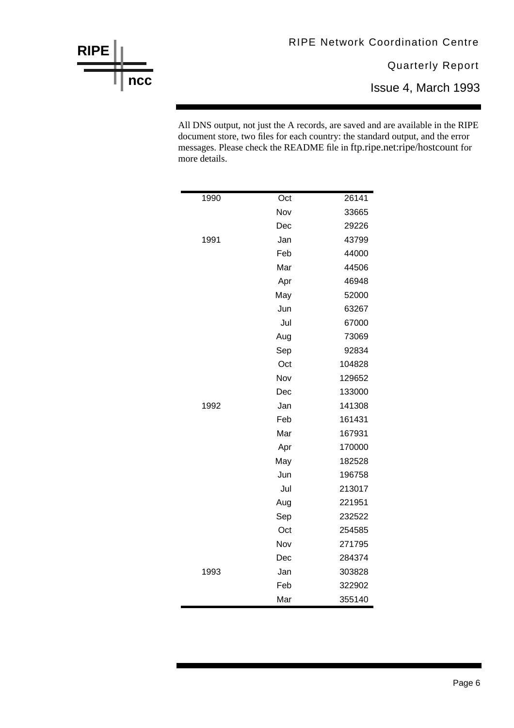#### RIPE Network Coordination Centre

Quarterly Report

Issue 4, March 1993

All DNS output, not just the A records, are saved and are available in the RIPE document store, two files for each country: the standard output, and the error messages. Please check the README file in ftp.ripe.net:ripe/hostcount for more details.

| 1990 | Oct | 26141  |
|------|-----|--------|
|      | Nov | 33665  |
|      | Dec | 29226  |
| 1991 | Jan | 43799  |
|      | Feb | 44000  |
|      | Mar | 44506  |
|      | Apr | 46948  |
|      | May | 52000  |
|      | Jun | 63267  |
|      | Jul | 67000  |
|      | Aug | 73069  |
|      | Sep | 92834  |
|      | Oct | 104828 |
|      | Nov | 129652 |
|      | Dec | 133000 |
| 1992 | Jan | 141308 |
|      | Feb | 161431 |
|      | Mar | 167931 |
|      | Apr | 170000 |
|      | May | 182528 |
|      | Jun | 196758 |
|      | Jul | 213017 |
|      | Aug | 221951 |
|      | Sep | 232522 |
|      | Oct | 254585 |
|      | Nov | 271795 |
|      | Dec | 284374 |
| 1993 | Jan | 303828 |
|      | Feb | 322902 |
|      | Mar | 355140 |

**RIPE ncc**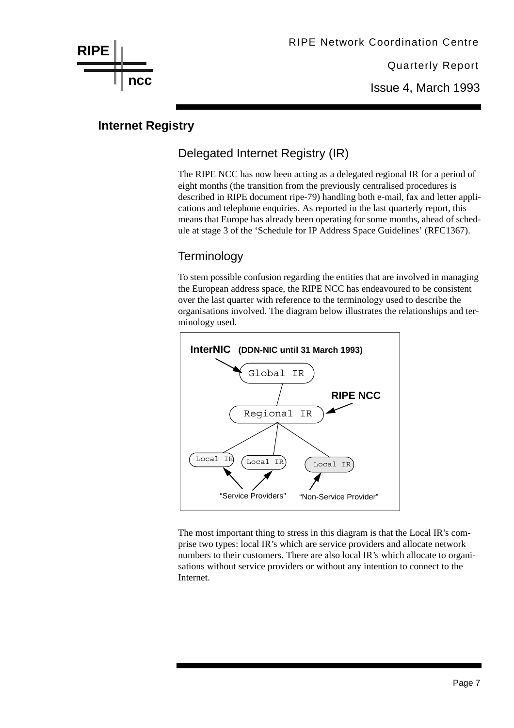

Issue 4, March 1993

#### **Internet Registry**

#### Delegated Internet Registry (IR)

The RIPE NCC has now been acting as a delegated regional IR for a period of eight months (the transition from the previously centralised procedures is described in RIPE document ripe-79) handling both e-mail, fax and letter applications and telephone enquiries. As reported in the last quarterly report, this means that Europe has already been operating for some months, ahead of schedule at stage 3 of the 'Schedule for IP Address Space Guidelines' (RFC1367).

#### **Terminology**

To stem possible confusion regarding the entities that are involved in managing the European address space, the RIPE NCC has endeavoured to be consistent over the last quarter with reference to the terminology used to describe the organisations involved. The diagram below illustrates the relationships and terminology used.



The most important thing to stress in this diagram is that the Local IR's comprise two types: local IR's which are service providers and allocate network numbers to their customers. There are also local IR's which allocate to organisations without service providers or without any intention to connect to the Internet.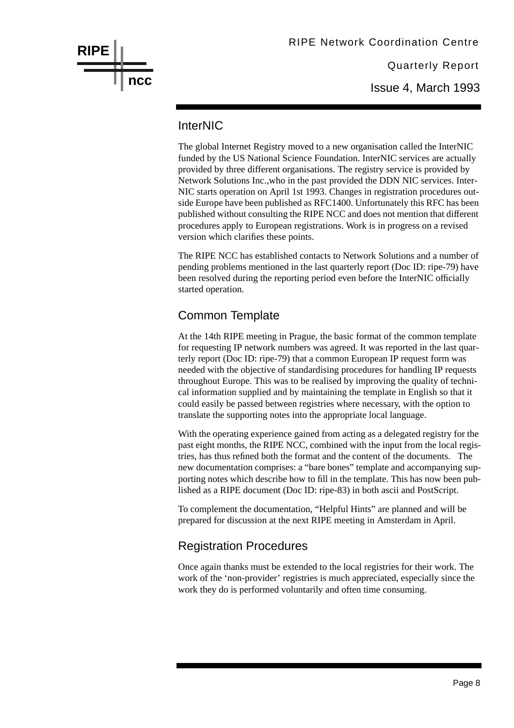

Quarterly Report Issue 4, March 1993

#### InterNIC

The global Internet Registry moved to a new organisation called the InterNIC funded by the US National Science Foundation. InterNIC services are actually provided by three different organisations. The registry service is provided by Network Solutions Inc.,who in the past provided the DDN NIC services. Inter-NIC starts operation on April 1st 1993. Changes in registration procedures outside Europe have been published as RFC1400. Unfortunately this RFC has been published without consulting the RIPE NCC and does not mention that different procedures apply to European registrations. Work is in progress on a revised version which clarifies these points.

The RIPE NCC has established contacts to Network Solutions and a number of pending problems mentioned in the last quarterly report (Doc ID: ripe-79) have been resolved during the reporting period even before the InterNIC officially started operation.

#### Common Template

At the 14th RIPE meeting in Prague, the basic format of the common template for requesting IP network numbers was agreed. It was reported in the last quarterly report (Doc ID: ripe-79) that a common European IP request form was needed with the objective of standardising procedures for handling IP requests throughout Europe. This was to be realised by improving the quality of technical information supplied and by maintaining the template in English so that it could easily be passed between registries where necessary, with the option to translate the supporting notes into the appropriate local language.

With the operating experience gained from acting as a delegated registry for the past eight months, the RIPE NCC, combined with the input from the local registries, has thus refined both the format and the content of the documents. The new documentation comprises: a "bare bones" template and accompanying supporting notes which describe how to fill in the template. This has now been published as a RIPE document (Doc ID: ripe-83) in both ascii and PostScript.

To complement the documentation, "Helpful Hints" are planned and will be prepared for discussion at the next RIPE meeting in Amsterdam in April.

#### Registration Procedures

Once again thanks must be extended to the local registries for their work. The work of the 'non-provider' registries is much appreciated, especially since the work they do is performed voluntarily and often time consuming.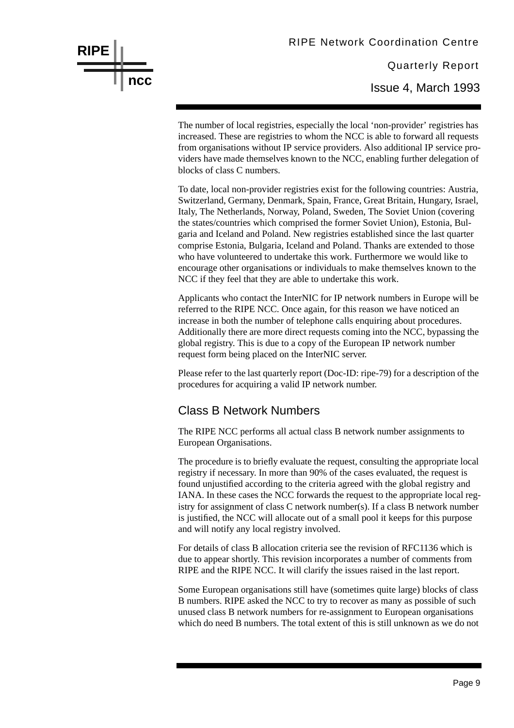Issue 4, March 1993

The number of local registries, especially the local 'non-provider' registries has increased. These are registries to whom the NCC is able to forward all requests from organisations without IP service providers. Also additional IP service providers have made themselves known to the NCC, enabling further delegation of blocks of class C numbers.

To date, local non-provider registries exist for the following countries: Austria, Switzerland, Germany, Denmark, Spain, France, Great Britain, Hungary, Israel, Italy, The Netherlands, Norway, Poland, Sweden, The Soviet Union (covering the states/countries which comprised the former Soviet Union), Estonia, Bulgaria and Iceland and Poland. New registries established since the last quarter comprise Estonia, Bulgaria, Iceland and Poland. Thanks are extended to those who have volunteered to undertake this work. Furthermore we would like to encourage other organisations or individuals to make themselves known to the NCC if they feel that they are able to undertake this work.

Applicants who contact the InterNIC for IP network numbers in Europe will be referred to the RIPE NCC. Once again, for this reason we have noticed an increase in both the number of telephone calls enquiring about procedures. Additionally there are more direct requests coming into the NCC, bypassing the global registry. This is due to a copy of the European IP network number request form being placed on the InterNIC server.

Please refer to the last quarterly report (Doc-ID: ripe-79) for a description of the procedures for acquiring a valid IP network number.

#### Class B Network Numbers

The RIPE NCC performs all actual class B network number assignments to European Organisations.

The procedure is to briefly evaluate the request, consulting the appropriate local registry if necessary. In more than 90% of the cases evaluated, the request is found unjustified according to the criteria agreed with the global registry and IANA. In these cases the NCC forwards the request to the appropriate local registry for assignment of class C network number(s). If a class B network number is justified, the NCC will allocate out of a small pool it keeps for this purpose and will notify any local registry involved.

For details of class B allocation criteria see the revision of RFC1136 which is due to appear shortly. This revision incorporates a number of comments from RIPE and the RIPE NCC. It will clarify the issues raised in the last report.

Some European organisations still have (sometimes quite large) blocks of class B numbers. RIPE asked the NCC to try to recover as many as possible of such unused class B network numbers for re-assignment to European organisations which do need B numbers. The total extent of this is still unknown as we do not

## **RIPE ncc**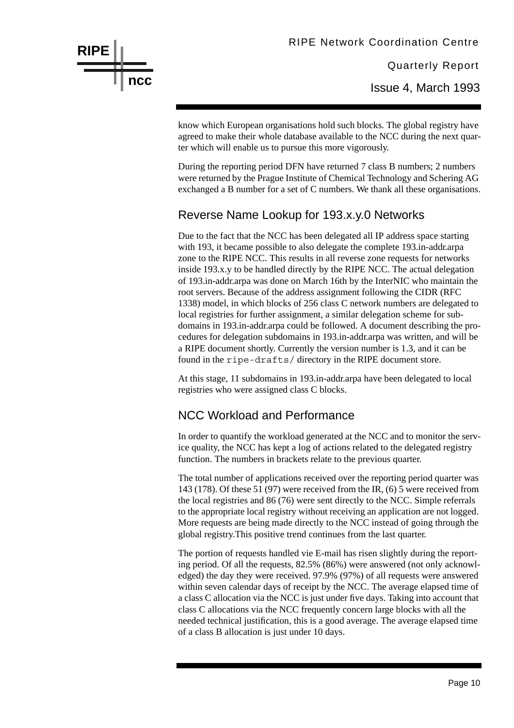

Issue 4, March 1993

know which European organisations hold such blocks. The global registry have agreed to make their whole database available to the NCC during the next quarter which will enable us to pursue this more vigorously.

During the reporting period DFN have returned 7 class B numbers; 2 numbers were returned by the Prague Institute of Chemical Technology and Schering AG exchanged a B number for a set of C numbers. We thank all these organisations.

#### Reverse Name Lookup for 193.x.y.0 Networks

Due to the fact that the NCC has been delegated all IP address space starting with 193, it became possible to also delegate the complete 193.in-addr.arpa zone to the RIPE NCC. This results in all reverse zone requests for networks inside 193.x.y to be handled directly by the RIPE NCC. The actual delegation of 193.in-addr.arpa was done on March 16th by the InterNIC who maintain the root servers. Because of the address assignment following the CIDR (RFC 1338) model, in which blocks of 256 class C network numbers are delegated to local registries for further assignment, a similar delegation scheme for subdomains in 193.in-addr.arpa could be followed. A document describing the procedures for delegation subdomains in 193.in-addr.arpa was written, and will be a RIPE document shortly. Currently the version number is 1.3, and it can be found in the ripe-drafts/ directory in the RIPE document store.

At this stage, 11 subdomains in 193.in-addr.arpa have been delegated to local registries who were assigned class C blocks.

#### NCC Workload and Performance

In order to quantify the workload generated at the NCC and to monitor the service quality, the NCC has kept a log of actions related to the delegated registry function. The numbers in brackets relate to the previous quarter.

The total number of applications received over the reporting period quarter was 143 (178). Of these 51 (97) were received from the IR, (6) 5 were received from the local registries and 86 (76) were sent directly to the NCC. Simple referrals to the appropriate local registry without receiving an application are not logged. More requests are being made directly to the NCC instead of going through the global registry.This positive trend continues from the last quarter.

The portion of requests handled vie E-mail has risen slightly during the reporting period. Of all the requests, 82.5% (86%) were answered (not only acknowledged) the day they were received. 97.9% (97%) of all requests were answered within seven calendar days of receipt by the NCC. The average elapsed time of a class C allocation via the NCC is just under five days. Taking into account that class C allocations via the NCC frequently concern large blocks with all the needed technical justification, this is a good average. The average elapsed time of a class B allocation is just under 10 days.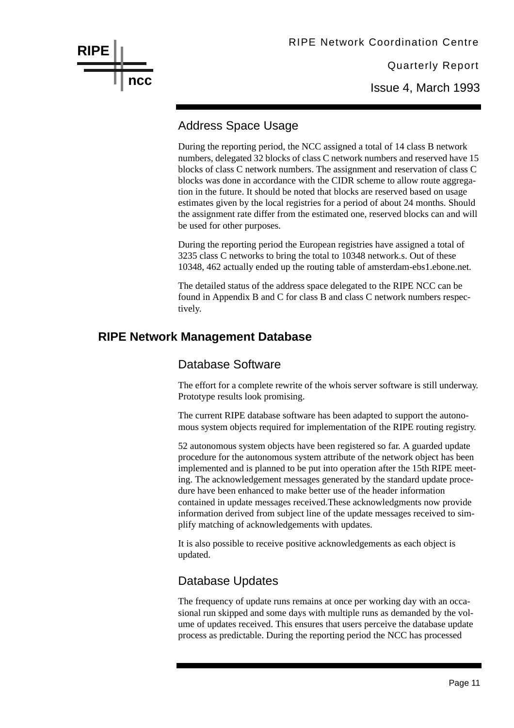

Quarterly Report Issue 4, March 1993

#### Address Space Usage

During the reporting period, the NCC assigned a total of 14 class B network numbers, delegated 32 blocks of class C network numbers and reserved have 15 blocks of class C network numbers. The assignment and reservation of class C blocks was done in accordance with the CIDR scheme to allow route aggregation in the future. It should be noted that blocks are reserved based on usage estimates given by the local registries for a period of about 24 months. Should the assignment rate differ from the estimated one, reserved blocks can and will be used for other purposes.

During the reporting period the European registries have assigned a total of 3235 class C networks to bring the total to 10348 network.s. Out of these 10348, 462 actually ended up the routing table of amsterdam-ebs1.ebone.net.

The detailed status of the address space delegated to the RIPE NCC can be found in Appendix B and C for class B and class C network numbers respectively.

#### **RIPE Network Management Database**

#### Database Software

The effort for a complete rewrite of the whois server software is still underway. Prototype results look promising.

The current RIPE database software has been adapted to support the autonomous system objects required for implementation of the RIPE routing registry.

52 autonomous system objects have been registered so far. A guarded update procedure for the autonomous system attribute of the network object has been implemented and is planned to be put into operation after the 15th RIPE meeting. The acknowledgement messages generated by the standard update procedure have been enhanced to make better use of the header information contained in update messages received.These acknowledgments now provide information derived from subject line of the update messages received to simplify matching of acknowledgements with updates.

It is also possible to receive positive acknowledgements as each object is updated.

#### Database Updates

The frequency of update runs remains at once per working day with an occasional run skipped and some days with multiple runs as demanded by the volume of updates received. This ensures that users perceive the database update process as predictable. During the reporting period the NCC has processed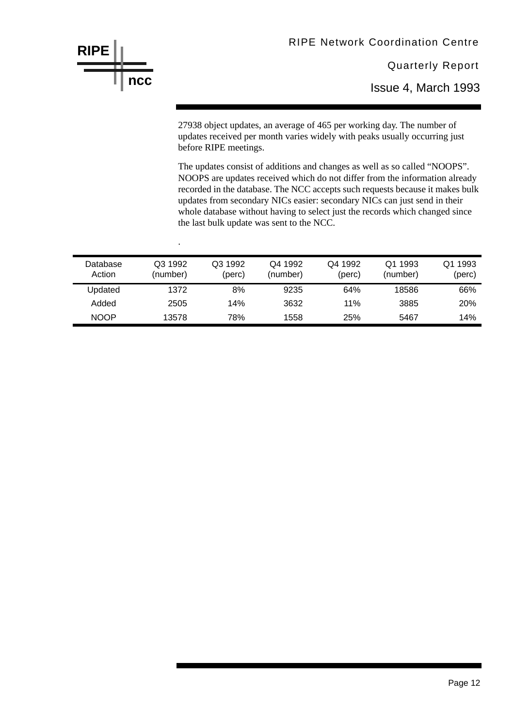## **RIPE ncc**

.

#### RIPE Network Coordination Centre

Quarterly Report

Issue 4, March 1993

27938 object updates, an average of 465 per working day. The number of updates received per month varies widely with peaks usually occurring just before RIPE meetings.

The updates consist of additions and changes as well as so called "NOOPS". NOOPS are updates received which do not differ from the information already recorded in the database. The NCC accepts such requests because it makes bulk updates from secondary NICs easier: secondary NICs can just send in their whole database without having to select just the records which changed since the last bulk update was sent to the NCC.

| Database<br>Action | Q3 1992<br>(number) | Q3 1992<br>(perc) | Q4 1992<br>(number) | Q4 1992<br>(perc) | Q1 1993<br>(number) | 1993<br>(perc) |
|--------------------|---------------------|-------------------|---------------------|-------------------|---------------------|----------------|
| Updated            | 1372                | 8%                | 9235                | 64%               | 18586               | 66%            |
| Added              | 2505                | 14%               | 3632                | 11%               | 3885                | <b>20%</b>     |
| <b>NOOP</b>        | 13578               | 78%               | 1558                | 25%               | 5467                | 14%            |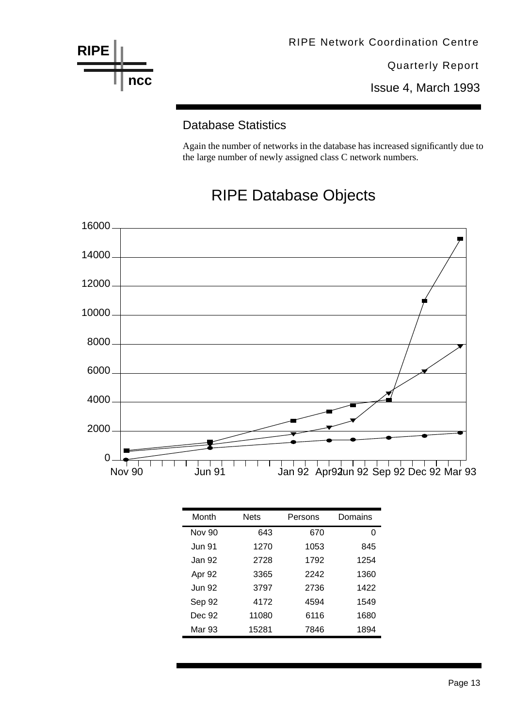

Issue 4, March 1993

#### Database Statistics

Again the number of networks in the database has increased significantly due to the large number of newly assigned class C network numbers.

## RIPE Database Objects



| Month         | <b>Nets</b><br>Persons |      | Domains |  |
|---------------|------------------------|------|---------|--|
| <b>Nov 90</b> | 643                    | 670  | U       |  |
| Jun 91        | 1270                   | 1053 | 845     |  |
| Jan 92        | 2728                   | 1792 | 1254    |  |
| Apr 92        | 3365                   | 2242 | 1360    |  |
| <b>Jun 92</b> | 3797                   | 2736 | 1422    |  |
| Sep 92        | 4172                   | 4594 | 1549    |  |
| Dec 92        | 11080                  | 6116 | 1680    |  |
| Mar 93        | 15281                  | 7846 | 1894    |  |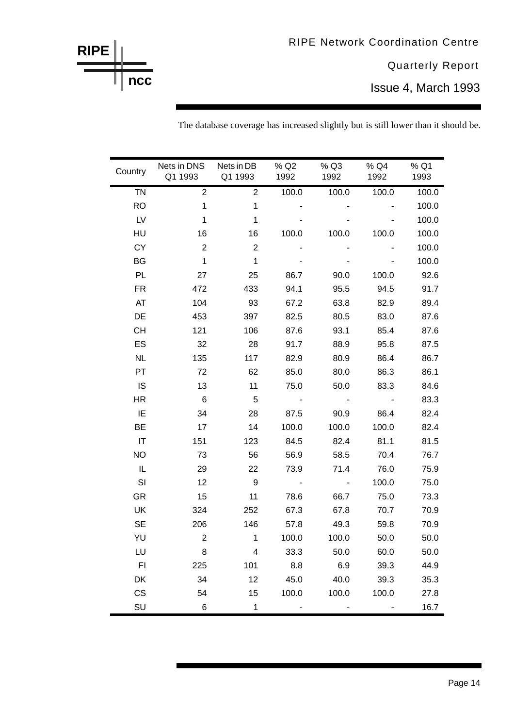Issue 4, March 1993

| Country                | Nets in DNS<br>Q1 1993 | Nets in DB<br>Q1 1993   |                          | % Q3<br>1992   | % Q4<br>1992 | % Q1<br>1993 |
|------------------------|------------------------|-------------------------|--------------------------|----------------|--------------|--------------|
| <b>TN</b>              | $\overline{2}$         | $\overline{2}$          | 100.0                    | 100.0          | 100.0        | 100.0        |
| <b>RO</b>              | $\mathbf{1}$           | $\mathbf{1}$            |                          |                |              | 100.0        |
| LV                     | $\mathbf{1}$           | $\mathbf{1}$            |                          |                |              | 100.0        |
| HU                     | 16                     | 16                      | 100.0                    | 100.0          | 100.0        | 100.0        |
| CY                     | $\overline{2}$         | $\overline{2}$          |                          |                |              | 100.0        |
| BG                     | $\mathbf{1}$           | $\mathbf{1}$            |                          |                |              | 100.0        |
| PL                     | 27                     | 25                      | 86.7                     | 90.0           | 100.0        | 92.6         |
| <b>FR</b>              | 472                    | 433                     | 94.1                     | 95.5           | 94.5         | 91.7         |
| AT                     | 104                    | 93                      | 67.2                     | 63.8           | 82.9         | 89.4         |
| DE                     | 453                    | 397                     | 82.5                     | 80.5           | 83.0         | 87.6         |
| <b>CH</b>              | 121                    | 106                     | 87.6                     | 93.1           | 85.4         | 87.6         |
| ES                     | 32                     | 28                      | 91.7                     | 88.9           | 95.8         | 87.5         |
| <b>NL</b>              | 135                    | 117                     | 82.9                     | 80.9           | 86.4         | 86.7         |
| PT                     | 72                     | 62                      | 85.0                     | 80.0           | 86.3         | 86.1         |
| IS                     | 13                     | 11                      | 75.0                     | 50.0           | 83.3         | 84.6         |
| <b>HR</b>              | 6                      | $\overline{5}$          | $\sim$                   | $\sim$         | $\sim$       | 83.3         |
| IE                     | 34                     | 28                      | 87.5                     | 90.9           | 86.4         | 82.4         |
| BE                     | 17                     | 14                      | 100.0                    | 100.0          | 100.0        | 82.4         |
| $\mathsf{I}\mathsf{T}$ | 151                    | 123                     | 84.5                     | 82.4           | 81.1         | 81.5         |
| <b>NO</b>              | 73                     | 56                      | 56.9                     | 58.5           | 70.4         | 76.7         |
| $\sf IL$               | 29                     | 22                      | 73.9                     | 71.4           | 76.0         | 75.9         |
| SI                     | 12                     | $\boldsymbol{9}$        | $\overline{\phantom{a}}$ | $\blacksquare$ | 100.0        | 75.0         |
| GR                     | 15                     | 11                      | 78.6                     | 66.7           | 75.0         | 73.3         |
| UK                     | 324                    | 252                     | 67.3                     | 67.8           | 70.7         | 70.9         |
| <b>SE</b>              | 206                    | 146                     | 57.8                     | 49.3           | 59.8         | 70.9         |
| YU                     | $\overline{2}$         | 1                       | 100.0                    | 100.0          | 50.0         | 50.0         |
| LU                     | 8                      | $\overline{\mathbf{4}}$ | 33.3                     | 50.0           | 60.0         | 50.0         |
| F1                     | 225                    | 101                     | 8.8                      | 6.9            | 39.3         | 44.9         |
| DK                     | 34                     | 12                      | 45.0                     | 40.0           | 39.3         | 35.3         |
| <b>CS</b>              | 54                     | 15                      | 100.0                    | 100.0          | 100.0        | 27.8         |
| SU                     | $6\phantom{1}$         | $\mathbf{1}$            |                          |                |              | 16.7         |

The database coverage has increased slightly but is still lower than it should be.

**RIPE**

**ncc**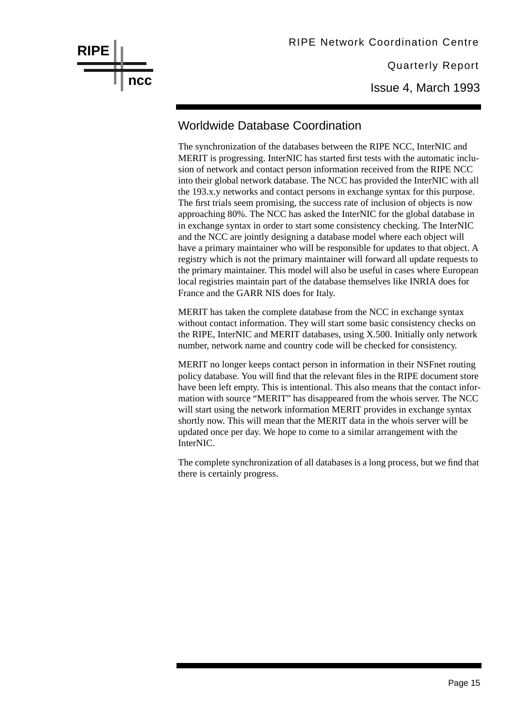**RIPE ncc**

Quarterly Report RIPE Network Coordination Centre

Issue 4, March 1993

#### Worldwide Database Coordination

The synchronization of the databases between the RIPE NCC, InterNIC and MERIT is progressing. InterNIC has started first tests with the automatic inclusion of network and contact person information received from the RIPE NCC into their global network database. The NCC has provided the InterNIC with all the 193.x.y networks and contact persons in exchange syntax for this purpose. The first trials seem promising, the success rate of inclusion of objects is now approaching 80%. The NCC has asked the InterNIC for the global database in in exchange syntax in order to start some consistency checking. The InterNIC and the NCC are jointly designing a database model where each object will have a primary maintainer who will be responsible for updates to that object. A registry which is not the primary maintainer will forward all update requests to the primary maintainer. This model will also be useful in cases where European local registries maintain part of the database themselves like INRIA does for France and the GARR NIS does for Italy.

MERIT has taken the complete database from the NCC in exchange syntax without contact information. They will start some basic consistency checks on the RIPE, InterNIC and MERIT databases, using X.500. Initially only network number, network name and country code will be checked for consistency.

MERIT no longer keeps contact person in information in their NSFnet routing policy database. You will find that the relevant files in the RIPE document store have been left empty. This is intentional. This also means that the contact information with source "MERIT" has disappeared from the whois server. The NCC will start using the network information MERIT provides in exchange syntax shortly now. This will mean that the MERIT data in the whois server will be updated once per day. We hope to come to a similar arrangement with the InterNIC.

The complete synchronization of all databases is a long process, but we find that there is certainly progress.

Page 15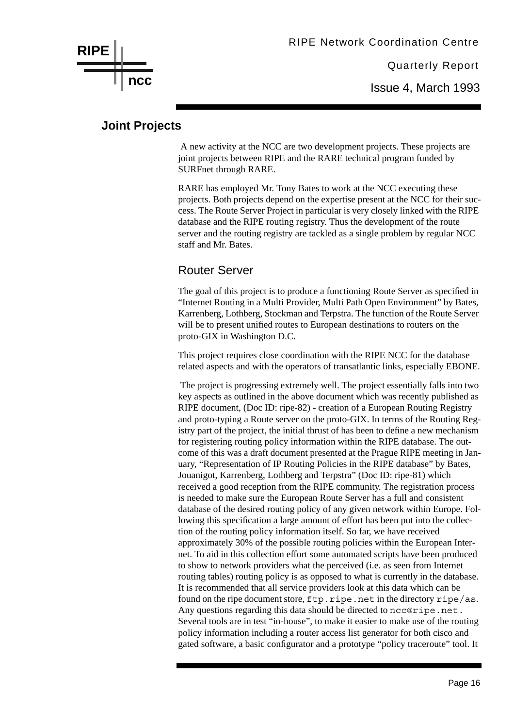Issue 4, March 1993

#### **Joint Projects**

 A new activity at the NCC are two development projects. These projects are joint projects between RIPE and the RARE technical program funded by SURFnet through RARE.

RARE has employed Mr. Tony Bates to work at the NCC executing these projects. Both projects depend on the expertise present at the NCC for their success. The Route Server Project in particular is very closely linked with the RIPE database and the RIPE routing registry. Thus the development of the route server and the routing registry are tackled as a single problem by regular NCC staff and Mr. Bates.

#### Router Server

The goal of this project is to produce a functioning Route Server as specified in "Internet Routing in a Multi Provider, Multi Path Open Environment" by Bates, Karrenberg, Lothberg, Stockman and Terpstra. The function of the Route Server will be to present unified routes to European destinations to routers on the proto-GIX in Washington D.C.

This project requires close coordination with the RIPE NCC for the database related aspects and with the operators of transatlantic links, especially EBONE.

 The project is progressing extremely well. The project essentially falls into two key aspects as outlined in the above document which was recently published as RIPE document, (Doc ID: ripe-82) - creation of a European Routing Registry and proto-typing a Route server on the proto-GIX. In terms of the Routing Registry part of the project, the initial thrust of has been to define a new mechanism for registering routing policy information within the RIPE database. The outcome of this was a draft document presented at the Prague RIPE meeting in January, "Representation of IP Routing Policies in the RIPE database" by Bates, Jouanigot, Karrenberg, Lothberg and Terpstra" (Doc ID: ripe-81) which received a good reception from the RIPE community. The registration process is needed to make sure the European Route Server has a full and consistent database of the desired routing policy of any given network within Europe. Following this specification a large amount of effort has been put into the collection of the routing policy information itself. So far, we have received approximately 30% of the possible routing policies within the European Internet. To aid in this collection effort some automated scripts have been produced to show to network providers what the perceived (i.e. as seen from Internet routing tables) routing policy is as opposed to what is currently in the database. It is recommended that all service providers look at this data which can be found on the ripe document store, ftp.ripe.net in the directory ripe/as. Any questions regarding this data should be directed to ncc@ripe.net. Several tools are in test "in-house", to make it easier to make use of the routing policy information including a router access list generator for both cisco and gated software, a basic configurator and a prototype "policy traceroute" tool. It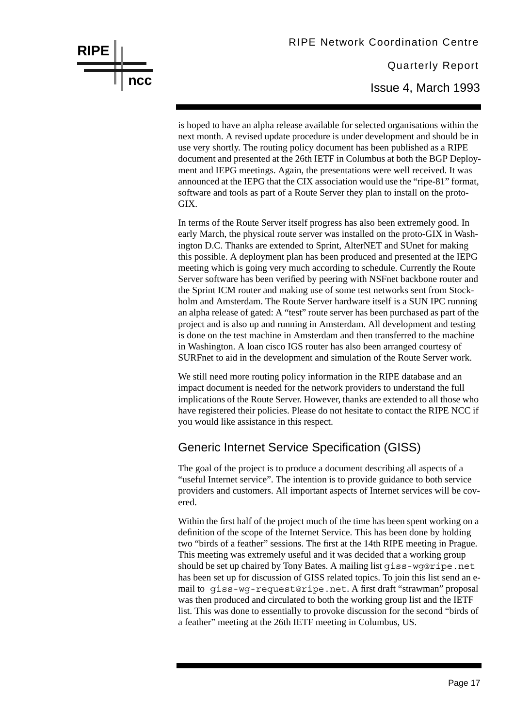## Quarterly Report RIPE Network Coordination Centre Issue 4, March 1993

is hoped to have an alpha release available for selected organisations within the next month. A revised update procedure is under development and should be in use very shortly. The routing policy document has been published as a RIPE document and presented at the 26th IETF in Columbus at both the BGP Deployment and IEPG meetings. Again, the presentations were well received. It was announced at the IEPG that the CIX association would use the "ripe-81" format, software and tools as part of a Route Server they plan to install on the proto-GIX.

**RIPE**

**ncc**

In terms of the Route Server itself progress has also been extremely good. In early March, the physical route server was installed on the proto-GIX in Washington D.C. Thanks are extended to Sprint, AlterNET and SUnet for making this possible. A deployment plan has been produced and presented at the IEPG meeting which is going very much according to schedule. Currently the Route Server software has been verified by peering with NSFnet backbone router and the Sprint ICM router and making use of some test networks sent from Stockholm and Amsterdam. The Route Server hardware itself is a SUN IPC running an alpha release of gated: A "test" route server has been purchased as part of the project and is also up and running in Amsterdam. All development and testing is done on the test machine in Amsterdam and then transferred to the machine in Washington. A loan cisco IGS router has also been arranged courtesy of SURFnet to aid in the development and simulation of the Route Server work.

We still need more routing policy information in the RIPE database and an impact document is needed for the network providers to understand the full implications of the Route Server. However, thanks are extended to all those who have registered their policies. Please do not hesitate to contact the RIPE NCC if you would like assistance in this respect.

#### Generic Internet Service Specification (GISS)

The goal of the project is to produce a document describing all aspects of a "useful Internet service". The intention is to provide guidance to both service providers and customers. All important aspects of Internet services will be covered.

Within the first half of the project much of the time has been spent working on a definition of the scope of the Internet Service. This has been done by holding two "birds of a feather" sessions. The first at the 14th RIPE meeting in Prague. This meeting was extremely useful and it was decided that a working group should be set up chaired by Tony Bates. A mailing list giss-wg@ripe.net has been set up for discussion of GISS related topics. To join this list send an email to giss-wg-request@ripe.net. A first draft "strawman" proposal was then produced and circulated to both the working group list and the IETF list. This was done to essentially to provoke discussion for the second "birds of a feather" meeting at the 26th IETF meeting in Columbus, US.

#### Page 17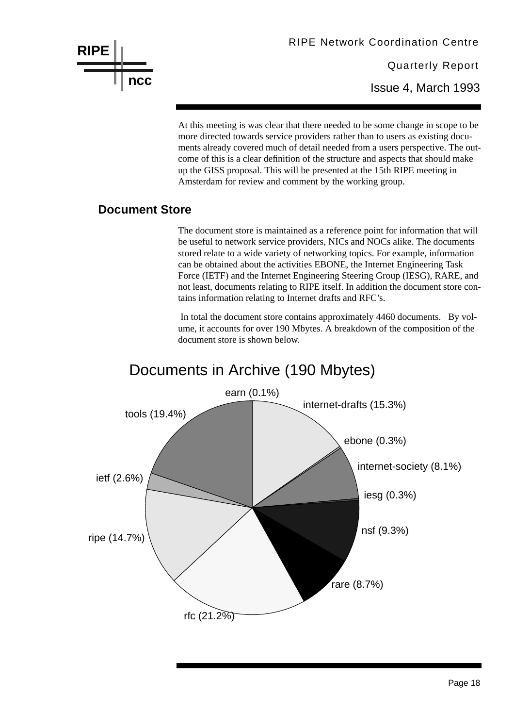

At this meeting is was clear that there needed to be some change in scope to be more directed towards service providers rather than to users as existing documents already covered much of detail needed from a users perspective. The outcome of this is a clear definition of the structure and aspects that should make up the GISS proposal. This will be presented at the 15th RIPE meeting in Amsterdam for review and comment by the working group.

#### **Document Store**

The document store is maintained as a reference point for information that will be useful to network service providers, NICs and NOCs alike. The documents stored relate to a wide variety of networking topics. For example, information can be obtained about the activities EBONE, the Internet Engineering Task Force (IETF) and the Internet Engineering Steering Group (IESG), RARE, and not least, documents relating to RIPE itself. In addition the document store contains information relating to Internet drafts and RFC's.

 In total the document store contains approximately 4460 documents. By volume, it accounts for over 190 Mbytes. A breakdown of the composition of the document store is shown below.



## Documents in Archive (190 Mbytes)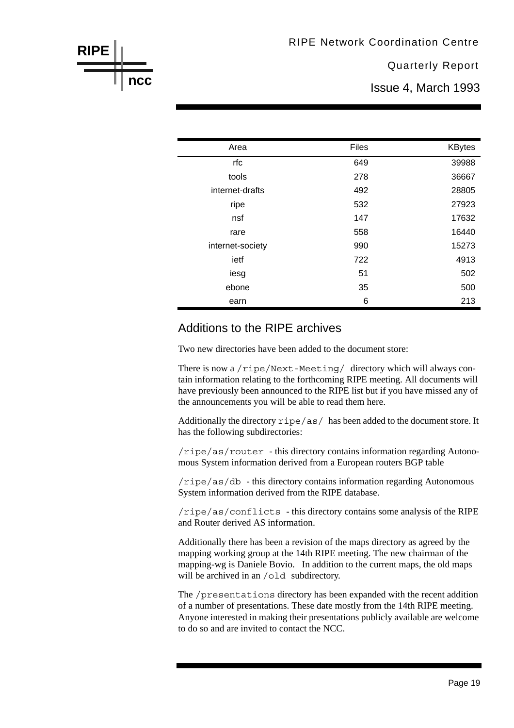Issue 4, March 1993

| Area             | <b>Files</b> | <b>KBytes</b> |
|------------------|--------------|---------------|
| rfc              | 649          | 39988         |
| tools            | 278          | 36667         |
| internet-drafts  | 492          | 28805         |
| ripe             | 532          | 27923         |
| nsf              | 147          | 17632         |
| rare             | 558          | 16440         |
| internet-society | 990          | 15273         |
| ietf             | 722          | 4913          |
| iesg             | 51           | 502           |
| ebone            | 35           | 500           |
| earn             | 6            | 213           |

#### Additions to the RIPE archives

**RIPE**

**ncc**

Two new directories have been added to the document store:

There is now a /ripe/Next-Meeting/ directory which will always contain information relating to the forthcoming RIPE meeting. All documents will have previously been announced to the RIPE list but if you have missed any of the announcements you will be able to read them here.

Additionally the directory ripe/as/ has been added to the document store. It has the following subdirectories:

/ripe/as/router - this directory contains information regarding Autonomous System information derived from a European routers BGP table

 $/$ ripe $/$ as $/$ db - this directory contains information regarding Autonomous System information derived from the RIPE database.

/ripe/as/conflicts - this directory contains some analysis of the RIPE and Router derived AS information.

Additionally there has been a revision of the maps directory as agreed by the mapping working group at the 14th RIPE meeting. The new chairman of the mapping-wg is Daniele Bovio. In addition to the current maps, the old maps will be archived in an /old subdirectory.

The /presentations directory has been expanded with the recent addition of a number of presentations. These date mostly from the 14th RIPE meeting. Anyone interested in making their presentations publicly available are welcome to do so and are invited to contact the NCC.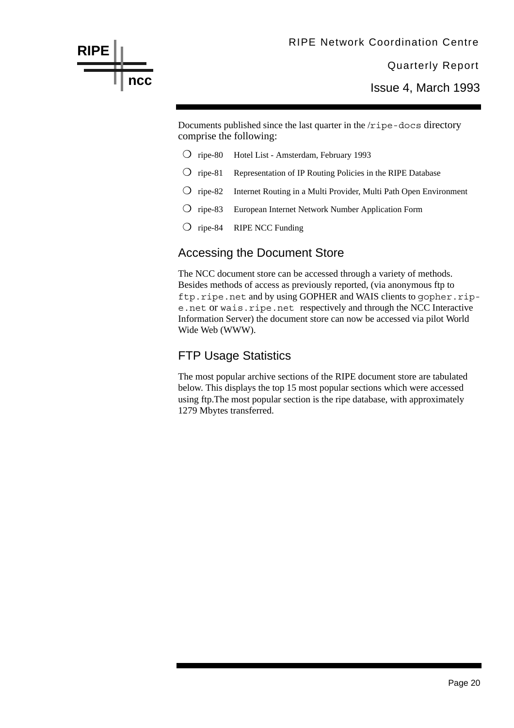

Issue 4, March 1993

Documents published since the last quarter in the  $/r$  ipe-docs directory comprise the following:

- ❍ ripe-80 Hotel List Amsterdam, February 1993
- ❍ ripe-81 Representation of IP Routing Policies in the RIPE Database
- ❍ ripe-82 Internet Routing in a Multi Provider, Multi Path Open Environment
- ❍ ripe-83 European Internet Network Number Application Form
- ❍ ripe-84 RIPE NCC Funding

#### Accessing the Document Store

The NCC document store can be accessed through a variety of methods. Besides methods of access as previously reported, (via anonymous ftp to ftp.ripe.net and by using GOPHER and WAIS clients to gopher.ripe.net or wais.ripe.net respectively and through the NCC Interactive Information Server) the document store can now be accessed via pilot World Wide Web (WWW).

#### FTP Usage Statistics

The most popular archive sections of the RIPE document store are tabulated below. This displays the top 15 most popular sections which were accessed using ftp.The most popular section is the ripe database, with approximately 1279 Mbytes transferred.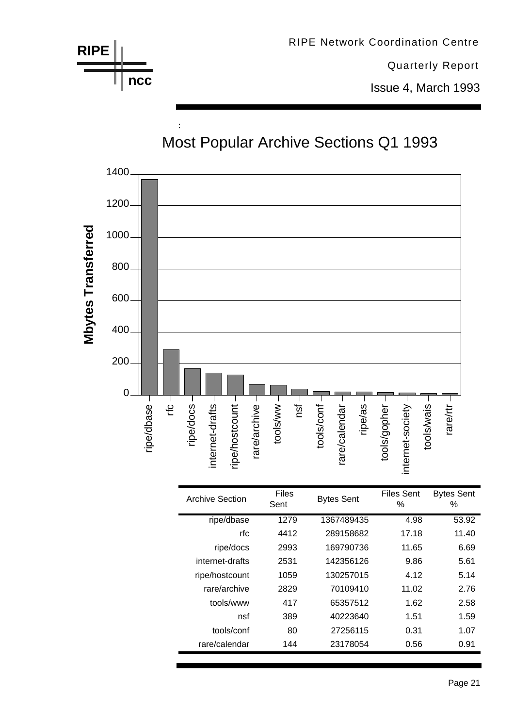

tools/conf 80 27256115 0.31 1.07 rare/calendar 144 23178054 0.56 0.91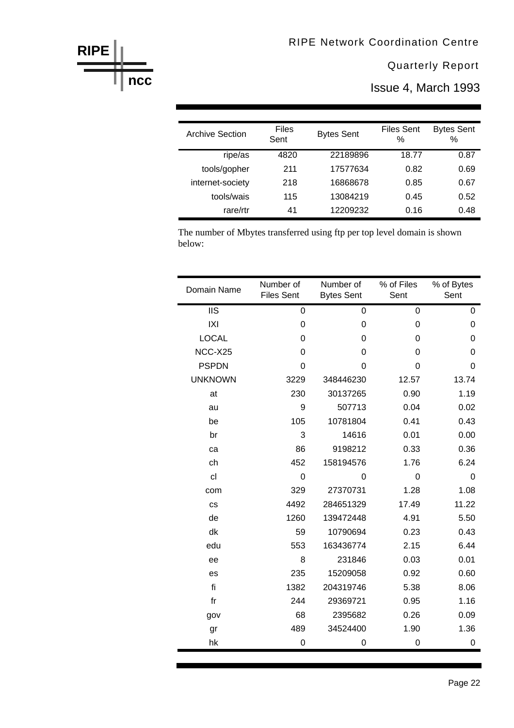Issue 4, March 1993

| <b>Archive Section</b> | Files<br>Sent | <b>Bytes Sent</b> | <b>Files Sent</b><br>% | <b>Bytes Sent</b><br>$\%$ |
|------------------------|---------------|-------------------|------------------------|---------------------------|
| ripe/as                | 4820          | 22189896          | 18.77                  | 0.87                      |
| tools/gopher           | 211           | 17577634          | 0.82                   | 0.69                      |
| internet-society       | 218           | 16868678          | 0.85                   | 0.67                      |
| tools/wais             | 115           | 13084219          | 0.45                   | 0.52                      |
| rare/rtr               | 41            | 12209232          | 0.16                   | 0.48                      |

The number of Mbytes transferred using ftp per top level domain is shown below:

| Domain Name    | Number of<br><b>Files Sent</b> | Number of<br>% of Files<br><b>Bytes Sent</b> |                | % of Bytes<br>Sent |
|----------------|--------------------------------|----------------------------------------------|----------------|--------------------|
| <b>IIS</b>     | $\mathbf 0$                    | 0                                            | $\overline{0}$ | 0                  |
| IXI            | 0                              | 0                                            | 0              | 0                  |
| <b>LOCAL</b>   | 0                              | 0                                            | $\mathbf 0$    | 0                  |
| NCC-X25        | 0                              | 0                                            | 0              | 0                  |
| <b>PSPDN</b>   | 0                              | 0                                            | $\overline{0}$ | 0                  |
| <b>UNKNOWN</b> | 3229                           | 348446230                                    | 12.57          | 13.74              |
| at             | 230                            | 30137265                                     | 0.90           | 1.19               |
| au             | 9                              | 507713                                       | 0.04           | 0.02               |
| be             | 105                            | 10781804                                     | 0.41           | 0.43               |
| br             | 3                              | 14616                                        | 0.01           | 0.00               |
| ca             | 86                             | 9198212                                      | 0.33           | 0.36               |
| ch             | 452                            | 158194576                                    | 1.76           | 6.24               |
| cl             | 0                              | 0                                            | 0              | 0                  |
| com            | 329                            | 27370731                                     | 1.28           | 1.08               |
| <b>CS</b>      | 4492                           | 284651329                                    | 17.49          | 11.22              |
| de             | 1260                           | 139472448                                    | 4.91           | 5.50               |
| dk             | 59                             | 10790694                                     | 0.23           | 0.43               |
| edu            | 553                            | 163436774                                    | 2.15           | 6.44               |
| ee             | 8                              | 231846                                       | 0.03           | 0.01               |
| es             | 235                            | 15209058                                     | 0.92           | 0.60               |
| fi             | 1382                           | 204319746                                    | 5.38           | 8.06               |
| fr             | 244                            | 29369721                                     | 0.95           | 1.16               |
| gov            | 68                             | 2395682                                      | 0.26           | 0.09               |
| gr             | 489                            | 34524400                                     | 1.90           | 1.36               |
| hk             | 0                              | 0                                            | $\mathbf 0$    | 0                  |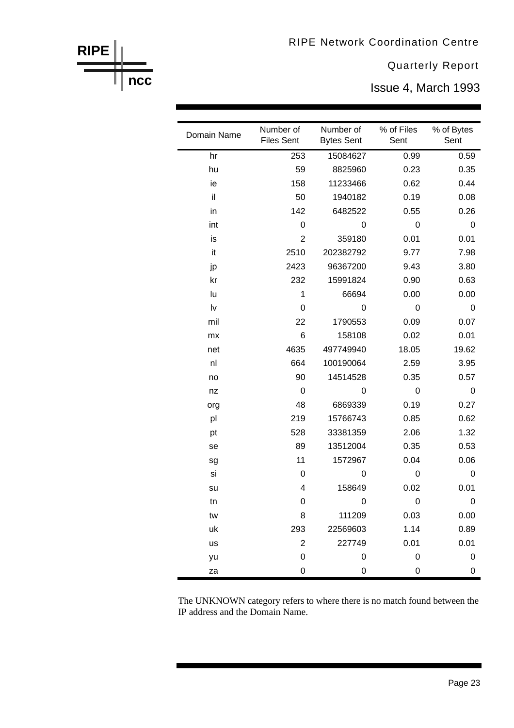Issue 4, March 1993

| Domain Name | Number of<br>Number of<br><b>Files Sent</b><br><b>Bytes Sent</b> |           | % of Files<br>Sent | % of Bytes<br>Sent |
|-------------|------------------------------------------------------------------|-----------|--------------------|--------------------|
| hr          | 253                                                              | 15084627  | 0.99               | 0.59               |
| hu          | 59                                                               | 8825960   | 0.23               | 0.35               |
| ie          | 158                                                              | 11233466  | 0.62               | 0.44               |
| il          | 50                                                               | 1940182   | 0.19               | 0.08               |
| in          | 142                                                              | 6482522   | 0.55               | 0.26               |
| int         | 0                                                                | 0         | $\mathbf 0$        | 0                  |
| is          | $\overline{2}$                                                   | 359180    | 0.01               | 0.01               |
| it          | 2510                                                             | 202382792 | 9.77               | 7.98               |
| jp          | 2423                                                             | 96367200  | 9.43               | 3.80               |
| kr          | 232                                                              | 15991824  | 0.90               | 0.63               |
| lu          | 1                                                                | 66694     | 0.00               | 0.00               |
| Iv          | 0                                                                | 0         | 0                  | 0                  |
| mil         | 22                                                               | 1790553   | 0.09               | 0.07               |
| mx          | 6                                                                | 158108    | 0.02               | 0.01               |
| net         | 4635                                                             | 497749940 | 18.05              | 19.62              |
| nl          | 664                                                              | 100190064 | 2.59               | 3.95               |
| no          | 90                                                               | 14514528  | 0.35               | 0.57               |
| nz          | $\mathbf 0$                                                      | 0         | $\mathbf 0$        | 0                  |
| org         | 48                                                               | 6869339   | 0.19               | 0.27               |
| pl          | 219                                                              | 15766743  | 0.85               | 0.62               |
| pt          | 528                                                              | 33381359  | 2.06               | 1.32               |
| se          | 89                                                               | 13512004  | 0.35               | 0.53               |
| sg          | 11                                                               | 1572967   | 0.04               | 0.06               |
| si          | 0                                                                | 0         | 0                  | 0                  |
| su          | 4                                                                | 158649    | 0.02               | 0.01               |
| tn          | 0                                                                | 0         | 0                  | 0                  |
| tw          | 8                                                                | 111209    | 0.03               | 0.00               |
| uk          | 293                                                              | 22569603  | 1.14               | 0.89               |
| us          | $\overline{2}$                                                   | 227749    | 0.01               | 0.01               |
| yu          | 0                                                                | 0         | $\mathbf 0$        | 0                  |
| za          | 0                                                                | 0         | $\boldsymbol{0}$   | 0                  |

The UNKNOWN category refers to where there is no match found between the IP address and the Domain Name.

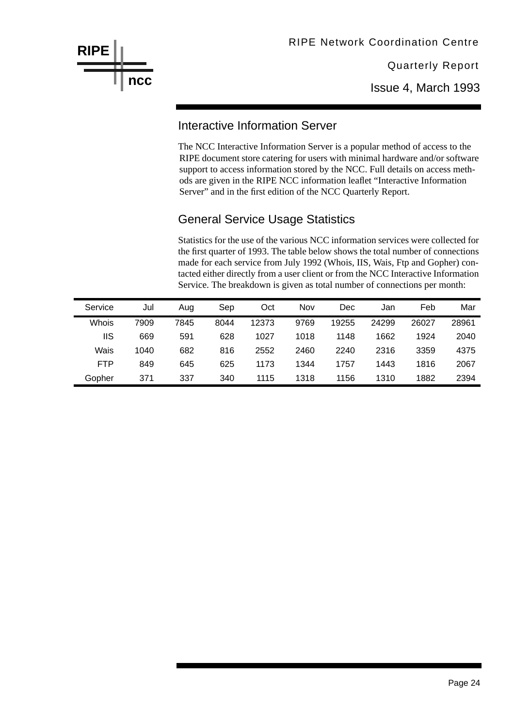

Issue 4, March 1993

#### Interactive Information Server

The NCC Interactive Information Server is a popular method of access to the RIPE document store catering for users with minimal hardware and/or software support to access information stored by the NCC. Full details on access methods are given in the RIPE NCC information leaflet "Interactive Information Server" and in the first edition of the NCC Quarterly Report.

#### General Service Usage Statistics

Statistics for the use of the various NCC information services were collected for the first quarter of 1993. The table below shows the total number of connections made for each service from July 1992 (Whois, IIS, Wais, Ftp and Gopher) contacted either directly from a user client or from the NCC Interactive Information Service. The breakdown is given as total number of connections per month:

| Service    | Jul  | Aug  | Sep  | Oct   | Nov  | Dec   | Jan   | Feb   | Mar   |
|------------|------|------|------|-------|------|-------|-------|-------|-------|
| Whois      | 7909 | 7845 | 8044 | 12373 | 9769 | 19255 | 24299 | 26027 | 28961 |
| IIS        | 669  | 591  | 628  | 1027  | 1018 | 1148  | 1662  | 1924  | 2040  |
| Wais       | 1040 | 682  | 816  | 2552  | 2460 | 2240  | 2316  | 3359  | 4375  |
| <b>FTP</b> | 849  | 645  | 625  | 1173  | 1344 | 1757  | 1443  | 1816  | 2067  |
| Gopher     | 371  | 337  | 340  | 1115  | 1318 | 1156  | 1310  | 1882  | 2394  |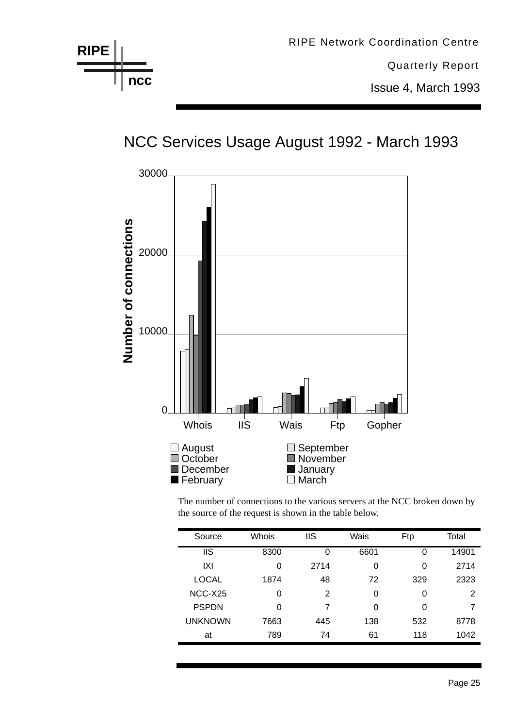

The number of connections to the various servers at the NCC broken down by the source of the request is shown in the table below.

| Source         | Whois | <b>IIS</b> | Wais | Ftp | Total |
|----------------|-------|------------|------|-----|-------|
| <b>IIS</b>     | 8300  | 0          | 6601 | 0   | 14901 |
| IXI            | 0     | 2714       | 0    | 0   | 2714  |
| LOCAL          | 1874  | 48         | 72   | 329 | 2323  |
| $NCC-X25$      | 0     | 2          | 0    | 0   | 2     |
| <b>PSPDN</b>   | 0     | 7          | 0    | 0   | 7     |
| <b>UNKNOWN</b> | 7663  | 445        | 138  | 532 | 8778  |
| at             | 789   | 74         | 61   | 118 | 1042  |
|                |       |            |      |     |       |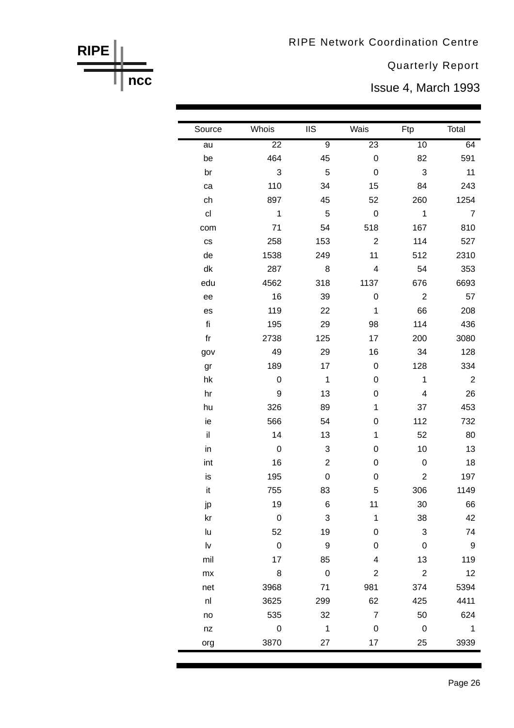Issue 4, March 1993

| Source                  | Whois            | <b>IIS</b>                | Wais                    | Ftp                     | Total          |
|-------------------------|------------------|---------------------------|-------------------------|-------------------------|----------------|
| au                      | $\overline{22}$  | $\overline{9}$            | $\overline{23}$         | $\overline{10}$         | 64             |
| be                      | 464              | 45                        | $\boldsymbol{0}$        | 82                      | 591            |
| br                      | $\sqrt{3}$       | 5                         | $\boldsymbol{0}$        | 3                       | 11             |
| ca                      | 110              | 34                        | 15                      | 84                      | 243            |
| ch                      | 897              | 45                        | 52                      | 260                     | 1254           |
| c <sub>l</sub>          | $\mathbf{1}$     | 5                         | 0                       | $\mathbf{1}$            | 7              |
| com                     | 71               | 54                        | 518                     | 167                     | 810            |
| CS                      | 258              | 153                       | $\overline{2}$          | 114                     | 527            |
| de                      | 1538             | 249                       | 11                      | 512                     | 2310           |
| $\mathsf{d}\mathsf{k}$  | 287              | $\bf 8$                   | $\overline{\mathbf{4}}$ | 54                      | 353            |
| edu                     | 4562             | 318                       | 1137                    | 676                     | 6693           |
| ee                      | 16               | 39                        | 0                       | $\overline{2}$          | 57             |
| es                      | 119              | 22                        | $\mathbf 1$             | 66                      | 208            |
| $\operatorname{\sf fi}$ | 195              | 29                        | 98                      | 114                     | 436            |
| ${\sf fr}$              | 2738             | 125                       | 17                      | 200                     | 3080           |
| gov                     | 49               | 29                        | 16                      | 34                      | 128            |
| gr                      | 189              | 17                        | $\boldsymbol{0}$        | 128                     | 334            |
| hk                      | $\mathbf 0$      | $\mathbf{1}$              | 0                       | 1                       | $\overline{2}$ |
| hr                      | $\boldsymbol{9}$ | 13                        | 0                       | $\overline{\mathbf{4}}$ | 26             |
| hu                      | 326              | 89                        | $\mathbf 1$             | 37                      | 453            |
| ie                      | 566              | 54                        | 0                       | 112                     | 732            |
| il                      | 14               | 13                        | 1                       | 52                      | 80             |
| in                      | $\pmb{0}$        | $\ensuremath{\mathsf{3}}$ | 0                       | 10                      | 13             |
| int                     | 16               | $\boldsymbol{2}$          | 0                       | $\mathbf 0$             | 18             |
| is                      | 195              | $\mathbf 0$               | 0                       | $\overline{2}$          | 197            |
| it                      | 755              | 83                        | 5                       | 306                     | 1149           |
| jp                      | 19               | 6                         | 11                      | 30                      | 66             |
| kr                      | $\boldsymbol{0}$ | 3                         | $\mathbf 1$             | 38                      | 42             |
| lu                      | 52               | 19                        | 0                       | 3                       | 74             |
| $\sf{Iv}$               | $\mathbf 0$      | 9                         | 0                       | $\mathbf 0$             | 9              |
| mil                     | 17               | 85                        | $\overline{\mathbf{4}}$ | 13                      | 119            |
| mx                      | 8                | $\mathbf 0$               | $\overline{2}$          | $\overline{2}$          | 12             |
| net                     | 3968             | 71                        | 981                     | 374                     | 5394           |
| n <sub>l</sub>          | 3625             | 299                       | 62                      | 425                     | 4411           |
| no                      | 535              | 32                        | $\overline{7}$          | 50                      | 624            |
| nz                      | $\boldsymbol{0}$ | $\mathbf 1$               | 0                       | $\boldsymbol{0}$        | 1              |
| org                     | 3870             | 27                        | 17                      | 25                      | 3939           |

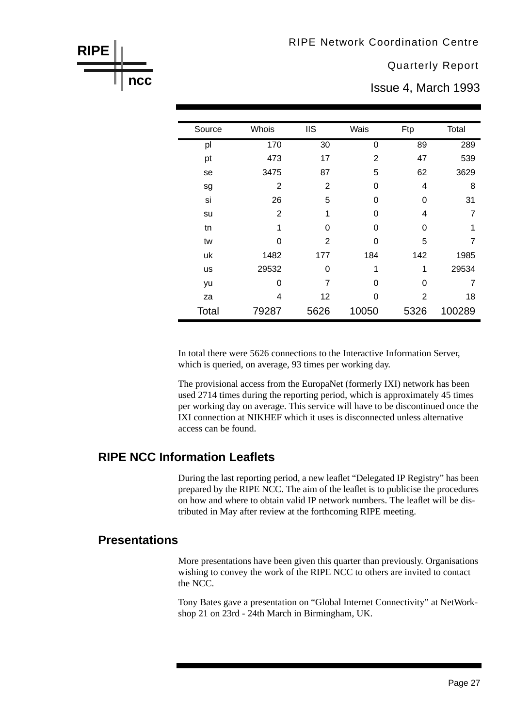Issue 4, March 1993

| Source | Whois          | <b>IIS</b> | Wais           | Ftp            | Total  |
|--------|----------------|------------|----------------|----------------|--------|
| pl     | 170            | 30         | 0              | 89             | 289    |
| pt     | 473            | 17         | $\overline{2}$ | 47             | 539    |
| se     | 3475           | 87         | 5              | 62             | 3629   |
| sg     | 2              | 2          | $\Omega$       | 4              | 8      |
| si     | 26             | 5          | 0              | 0              | 31     |
| su     | $\overline{2}$ | 1          | 0              | 4              | 7      |
| tn     | 1              | 0          | 0              | 0              | 1      |
| tw     | 0              | 2          | O              | 5              | 7      |
| uk     | 1482           | 177        | 184            | 142            | 1985   |
| us     | 29532          | 0          | 1              | 1              | 29534  |
| yu     | 0              | 7          | 0              | 0              |        |
| za     | 4              | 12         | 0              | $\overline{2}$ | 18     |
| Total  | 79287          | 5626       | 10050          | 5326           | 100289 |

In total there were 5626 connections to the Interactive Information Server, which is queried, on average, 93 times per working day.

The provisional access from the EuropaNet (formerly IXI) network has been used 2714 times during the reporting period, which is approximately 45 times per working day on average. This service will have to be discontinued once the IXI connection at NIKHEF which it uses is disconnected unless alternative access can be found.

#### **RIPE NCC Information Leaflets**

During the last reporting period, a new leaflet "Delegated IP Registry" has been prepared by the RIPE NCC. The aim of the leaflet is to publicise the procedures on how and where to obtain valid IP network numbers. The leaflet will be distributed in May after review at the forthcoming RIPE meeting.

#### **Presentations**

**RIPE**

**ncc**

More presentations have been given this quarter than previously. Organisations wishing to convey the work of the RIPE NCC to others are invited to contact the NCC.

Tony Bates gave a presentation on "Global Internet Connectivity" at NetWorkshop 21 on 23rd - 24th March in Birmingham, UK.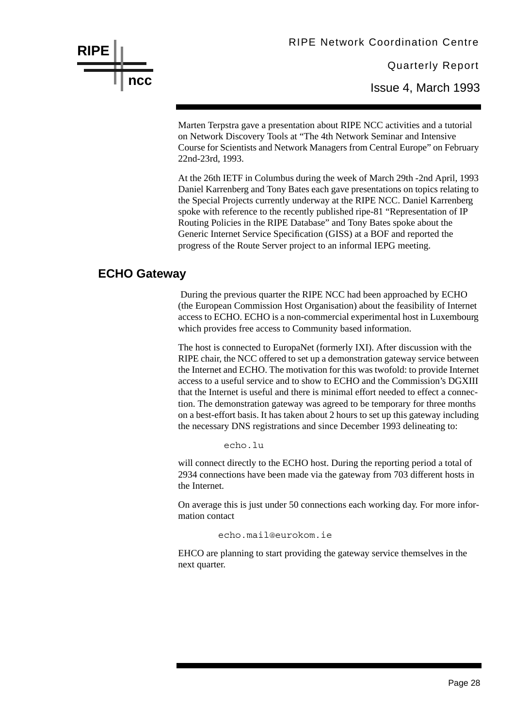Issue 4, March 1993

Marten Terpstra gave a presentation about RIPE NCC activities and a tutorial on Network Discovery Tools at "The 4th Network Seminar and Intensive Course for Scientists and Network Managers from Central Europe" on February 22nd-23rd, 1993.

At the 26th IETF in Columbus during the week of March 29th -2nd April, 1993 Daniel Karrenberg and Tony Bates each gave presentations on topics relating to the Special Projects currently underway at the RIPE NCC. Daniel Karrenberg spoke with reference to the recently published ripe-81 "Representation of IP Routing Policies in the RIPE Database" and Tony Bates spoke about the Generic Internet Service Specification (GISS) at a BOF and reported the progress of the Route Server project to an informal IEPG meeting.

#### **ECHO Gateway**

 During the previous quarter the RIPE NCC had been approached by ECHO (the European Commission Host Organisation) about the feasibility of Internet access to ECHO. ECHO is a non-commercial experimental host in Luxembourg which provides free access to Community based information.

The host is connected to EuropaNet (formerly IXI). After discussion with the RIPE chair, the NCC offered to set up a demonstration gateway service between the Internet and ECHO. The motivation for this was twofold: to provide Internet access to a useful service and to show to ECHO and the Commission's DGXIII that the Internet is useful and there is minimal effort needed to effect a connection. The demonstration gateway was agreed to be temporary for three months on a best-effort basis. It has taken about 2 hours to set up this gateway including the necessary DNS registrations and since December 1993 delineating to:

echo.lu

will connect directly to the ECHO host. During the reporting period a total of 2934 connections have been made via the gateway from 703 different hosts in the Internet.

On average this is just under 50 connections each working day. For more information contact

echo.mail@eurokom.ie

EHCO are planning to start providing the gateway service themselves in the next quarter.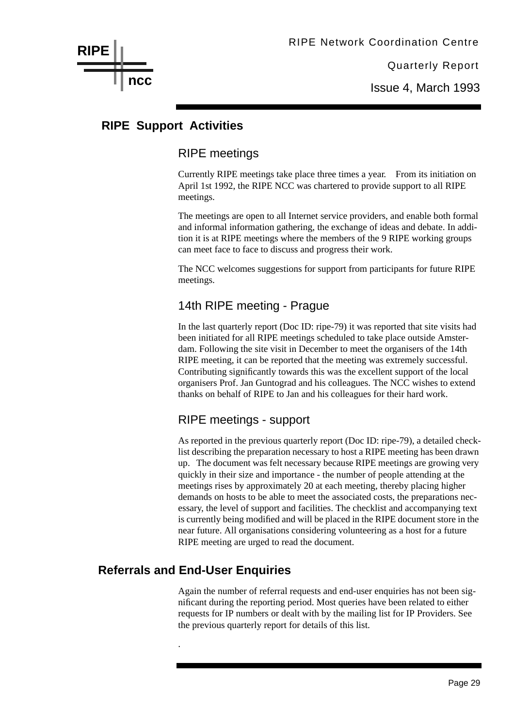Issue 4, March 1993

## **RIPE ncc**

#### **RIPE Support Activities**

#### RIPE meetings

Currently RIPE meetings take place three times a year. From its initiation on April 1st 1992, the RIPE NCC was chartered to provide support to all RIPE meetings.

The meetings are open to all Internet service providers, and enable both formal and informal information gathering, the exchange of ideas and debate. In addition it is at RIPE meetings where the members of the 9 RIPE working groups can meet face to face to discuss and progress their work.

The NCC welcomes suggestions for support from participants for future RIPE meetings.

#### 14th RIPE meeting - Prague

In the last quarterly report (Doc ID: ripe-79) it was reported that site visits had been initiated for all RIPE meetings scheduled to take place outside Amsterdam. Following the site visit in December to meet the organisers of the 14th RIPE meeting, it can be reported that the meeting was extremely successful. Contributing significantly towards this was the excellent support of the local organisers Prof. Jan Guntograd and his colleagues. The NCC wishes to extend thanks on behalf of RIPE to Jan and his colleagues for their hard work.

#### RIPE meetings - support

As reported in the previous quarterly report (Doc ID: ripe-79), a detailed checklist describing the preparation necessary to host a RIPE meeting has been drawn up. The document was felt necessary because RIPE meetings are growing very quickly in their size and importance - the number of people attending at the meetings rises by approximately 20 at each meeting, thereby placing higher demands on hosts to be able to meet the associated costs, the preparations necessary, the level of support and facilities. The checklist and accompanying text is currently being modified and will be placed in the RIPE document store in the near future. All organisations considering volunteering as a host for a future RIPE meeting are urged to read the document.

#### **Referrals and End-User Enquiries**

.

Again the number of referral requests and end-user enquiries has not been significant during the reporting period. Most queries have been related to either requests for IP numbers or dealt with by the mailing list for IP Providers. See the previous quarterly report for details of this list.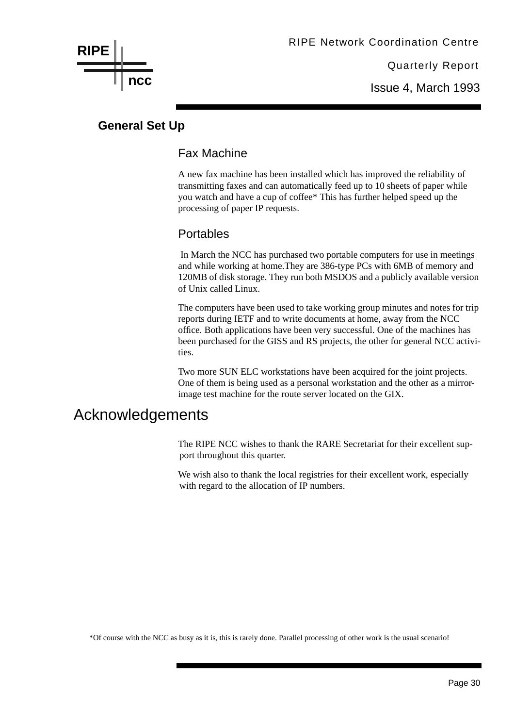Issue 4, March 1993

#### **General Set Up**

**ncc**

**RIPE**

#### Fax Machine

A new fax machine has been installed which has improved the reliability of transmitting faxes and can automatically feed up to 10 sheets of paper while you watch and have a cup of coffee\* This has further helped speed up the processing of paper IP requests.

#### Portables

 In March the NCC has purchased two portable computers for use in meetings and while working at home.They are 386-type PCs with 6MB of memory and 120MB of disk storage. They run both MSDOS and a publicly available version of Unix called Linux.

The computers have been used to take working group minutes and notes for trip reports during IETF and to write documents at home, away from the NCC office. Both applications have been very successful. One of the machines has been purchased for the GISS and RS projects, the other for general NCC activities.

Two more SUN ELC workstations have been acquired for the joint projects. One of them is being used as a personal workstation and the other as a mirrorimage test machine for the route server located on the GIX.

### Acknowledgements

The RIPE NCC wishes to thank the RARE Secretariat for their excellent support throughout this quarter.

We wish also to thank the local registries for their excellent work, especially with regard to the allocation of IP numbers.

\*Of course with the NCC as busy as it is, this is rarely done. Parallel processing of other work is the usual scenario!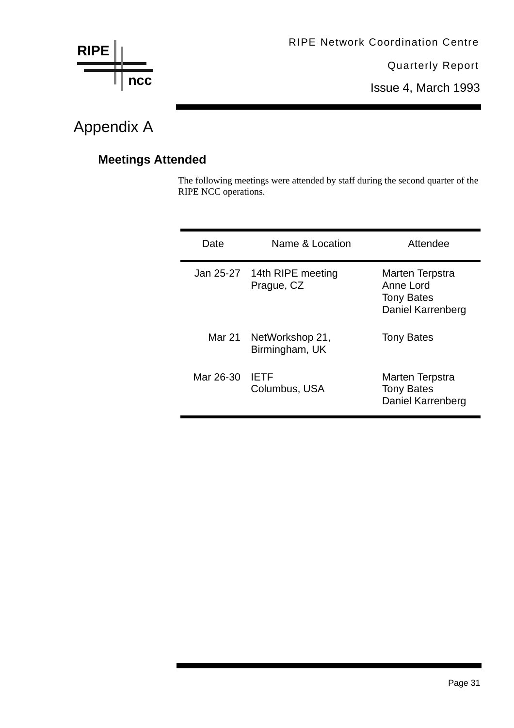

Issue 4, March 1993

## Appendix A

#### **Meetings Attended**

The following meetings were attended by staff during the second quarter of the RIPE NCC operations.

| Date      | Name & Location                           | Attendee                                                                      |
|-----------|-------------------------------------------|-------------------------------------------------------------------------------|
|           | Jan 25-27 14th RIPE meeting<br>Prague, CZ | Marten Terpstra<br>Anne Lord<br><b>Tony Bates</b><br><b>Daniel Karrenberg</b> |
|           | Mar 21 NetWorkshop 21,<br>Birmingham, UK  | <b>Tony Bates</b>                                                             |
| Mar 26-30 | <b>IFTF</b><br>Columbus, USA              | Marten Terpstra<br><b>Tony Bates</b><br>Daniel Karrenberg                     |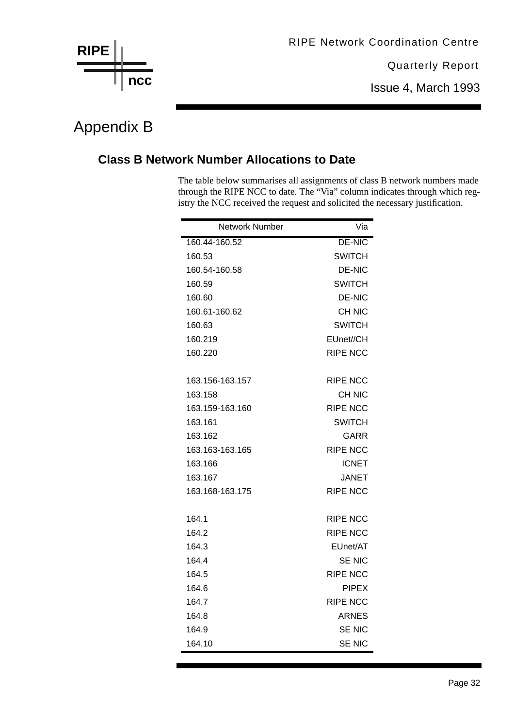

Issue 4, March 1993

## Appendix B

#### **Class B Network Number Allocations to Date**

The table below summarises all assignments of class B network numbers made through the RIPE NCC to date. The "Via" column indicates through which registry the NCC received the request and solicited the necessary justification.

| <b>Network Number</b> | Via             |
|-----------------------|-----------------|
| 160.44-160.52         | <b>DE-NIC</b>   |
| 160.53                | <b>SWITCH</b>   |
| 160.54-160.58         | <b>DE-NIC</b>   |
| 160.59                | <b>SWITCH</b>   |
| 160.60                | DE-NIC          |
| 160.61-160.62         | CH NIC          |
| 160.63                | <b>SWITCH</b>   |
| 160.219               | EUnet//CH       |
| 160.220               | <b>RIPE NCC</b> |
| 163.156-163.157       | <b>RIPE NCC</b> |
| 163.158               | <b>CH NIC</b>   |
| 163.159-163.160       | <b>RIPE NCC</b> |
| 163.161               | <b>SWITCH</b>   |
| 163.162               | GARR            |
| 163.163-163.165       | <b>RIPE NCC</b> |
| 163.166               | <b>ICNET</b>    |
| 163.167               | <b>JANET</b>    |
| 163.168-163.175       | <b>RIPE NCC</b> |
| 164.1                 | <b>RIPE NCC</b> |
| 164.2                 | <b>RIPE NCC</b> |
| 164.3                 | EUnet/AT        |
| 164.4                 | SE NIC          |
| 164.5                 | <b>RIPE NCC</b> |
| 164.6                 | <b>PIPEX</b>    |
| 164.7                 | <b>RIPE NCC</b> |
| 164.8                 | <b>ARNES</b>    |
| 164.9                 | SE NIC          |
| 164.10                | <b>SE NIC</b>   |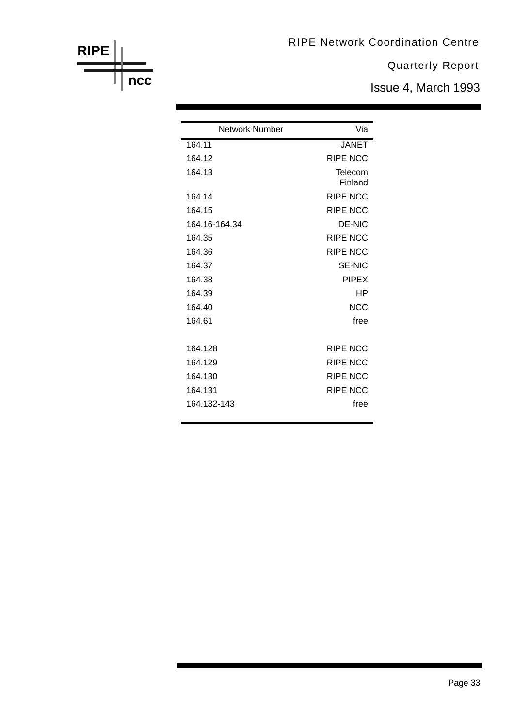#### RIPE Network Coordination Centre

#### Quarterly Report

Issue 4, March 1993

| Network Number | Via                |
|----------------|--------------------|
| 164.11         | <b>JANET</b>       |
| 164.12         | RIPE NCC           |
| 164.13         | Telecom<br>Finland |
| 164.14         | <b>RIPE NCC</b>    |
| 164.15         | <b>RIPE NCC</b>    |
| 164 16-164 34  | DE-NIC             |
| 164.35         | RIPE NCC           |
| 164.36         | <b>RIPE NCC</b>    |
| 164.37         | <b>SE-NIC</b>      |
| 164.38         | <b>PIPEX</b>       |
| 164.39         | НP                 |
| 164.40         | NCC                |
| 164.61         | free               |
| 164.128        | <b>RIPE NCC</b>    |
| 164.129        | <b>RIPE NCC</b>    |
| 164.130        | <b>RIPE NCC</b>    |
| 164.131        | <b>RIPE NCC</b>    |
| 164.132-143    | free               |

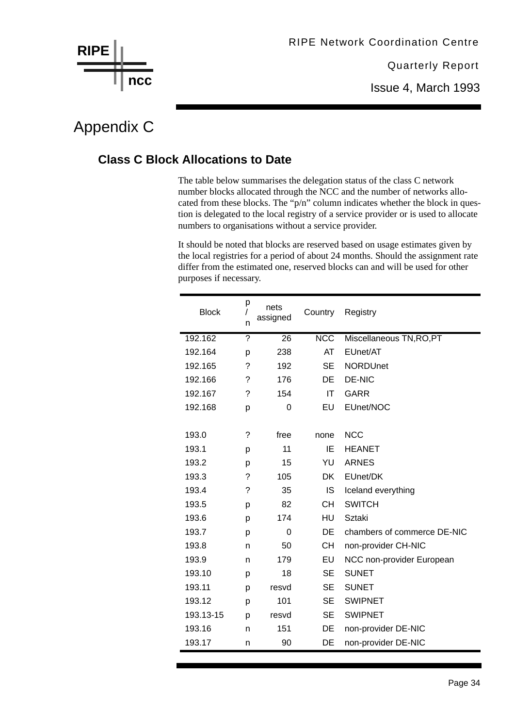

Issue 4, March 1993

## Appendix C

#### **Class C Block Allocations to Date**

The table below summarises the delegation status of the class C network number blocks allocated through the NCC and the number of networks allocated from these blocks. The "p/n" column indicates whether the block in question is delegated to the local registry of a service provider or is used to allocate numbers to organisations without a service provider.

It should be noted that blocks are reserved based on usage estimates given by the local registries for a period of about 24 months. Should the assignment rate differ from the estimated one, reserved blocks can and will be used for other purposes if necessary.

| <b>Block</b> | р<br>n | nets<br>assigned | Country                 | Registry                    |
|--------------|--------|------------------|-------------------------|-----------------------------|
| 192.162      | ?      | $\overline{26}$  | $\overline{\text{NCC}}$ | Miscellaneous TN, RO, PT    |
| 192.164      | р      | 238              | AT                      | EUnet/AT                    |
| 192.165      | ?      | 192              | <b>SE</b>               | <b>NORDUnet</b>             |
| 192.166      | ?      | 176              | DE                      | <b>DE-NIC</b>               |
| 192.167      | ?      | 154              | IT                      | <b>GARR</b>                 |
| 192.168      | p      | 0                | EU                      | EUnet/NOC                   |
|              |        |                  |                         |                             |
| 193.0        | ?      | free             | none                    | <b>NCC</b>                  |
| 193.1        | р      | 11               | IE                      | <b>HEANET</b>               |
| 193.2        | р      | 15               | YU                      | <b>ARNES</b>                |
| 193.3        | ?      | 105              | DK.                     | EUnet/DK                    |
| 193.4        | ?      | 35               | IS                      | Iceland everything          |
| 193.5        | р      | 82               | <b>CH</b>               | <b>SWITCH</b>               |
| 193.6        | p      | 174              | HU                      | Sztaki                      |
| 193.7        | p      | 0                | DE                      | chambers of commerce DE-NIC |
| 193.8        | n      | 50               | CН                      | non-provider CH-NIC         |
| 193.9        | n      | 179              | EU                      | NCC non-provider European   |
| 193.10       | p      | 18               | <b>SE</b>               | <b>SUNET</b>                |
| 193.11       | p      | resvd            | <b>SE</b>               | <b>SUNET</b>                |
| 193.12       | р      | 101              | <b>SE</b>               | <b>SWIPNET</b>              |
| 193.13-15    | p      | resvd            | <b>SE</b>               | <b>SWIPNET</b>              |
| 193.16       | n      | 151              | DE                      | non-provider DE-NIC         |
| 193.17       | n      | 90               | DE                      | non-provider DE-NIC         |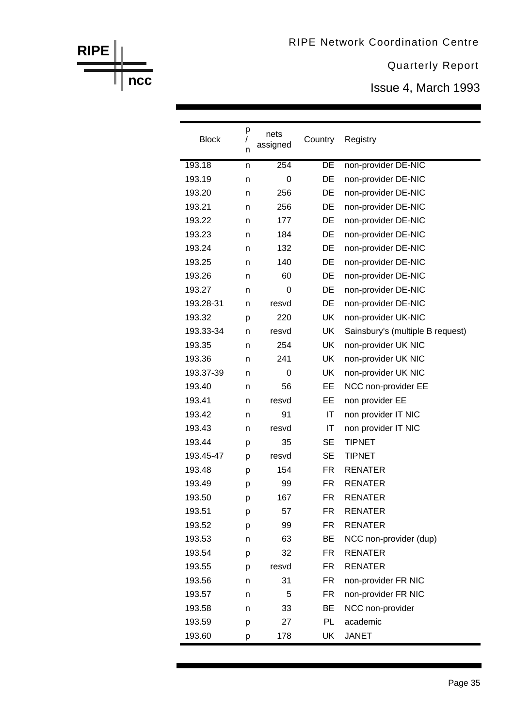Issue 4, March 1993

| <b>Block</b> | р<br>T<br>n | nets<br>assigned | Country   | Registry                         |
|--------------|-------------|------------------|-----------|----------------------------------|
| 193.18       | n           | 254              | DE        | non-provider DE-NIC              |
| 193.19       | n           | 0                | DE        | non-provider DE-NIC              |
| 193.20       | n           | 256              | DE        | non-provider DE-NIC              |
| 193.21       | n           | 256              | DE        | non-provider DE-NIC              |
| 193.22       | n           | 177              | DE        | non-provider DE-NIC              |
| 193.23       | n           | 184              | DE        | non-provider DE-NIC              |
| 193.24       | n           | 132              | DE        | non-provider DE-NIC              |
| 193.25       | n           | 140              | DE        | non-provider DE-NIC              |
| 193.26       | n           | 60               | DE        | non-provider DE-NIC              |
| 193.27       | n           | 0                | DE        | non-provider DE-NIC              |
| 193.28-31    | n           | resvd            | DE        | non-provider DE-NIC              |
| 193.32       | р           | 220              | UK        | non-provider UK-NIC              |
| 193.33-34    | n           | resvd            | <b>UK</b> | Sainsbury's (multiple B request) |
| 193.35       | n           | 254              | UK        | non-provider UK NIC              |
| 193.36       | n           | 241              | UK        | non-provider UK NIC              |
| 193.37-39    | n           | 0                | <b>UK</b> | non-provider UK NIC              |
| 193.40       | n           | 56               | EE        | NCC non-provider EE              |
| 193.41       | n           | resvd            | EE        | non provider EE                  |
| 193.42       | n           | 91               | IT        | non provider IT NIC              |
| 193.43       | n           | resvd            | IT        | non provider IT NIC              |
| 193.44       | р           | 35               | <b>SE</b> | <b>TIPNET</b>                    |
| 193.45-47    | p           | resvd            | <b>SE</b> | <b>TIPNET</b>                    |
| 193.48       | р           | 154              | FR.       | <b>RENATER</b>                   |
| 193.49       | р           | 99               | FR.       | <b>RENATER</b>                   |
| 193.50       | р           | 167              | FR        | <b>RENATER</b>                   |
| 193.51       | р           | 57               | <b>FR</b> | <b>RENATER</b>                   |
| 193.52       | р           | 99               | FR.       | <b>RENATER</b>                   |
| 193.53       | n           | 63               | BE        | NCC non-provider (dup)           |
| 193.54       | р           | 32               | <b>FR</b> | <b>RENATER</b>                   |
| 193.55       | p           | resvd            | FR.       | <b>RENATER</b>                   |
| 193.56       | n           | 31               | <b>FR</b> | non-provider FR NIC              |
| 193.57       | n           | 5                | <b>FR</b> | non-provider FR NIC              |
| 193.58       | n           | 33               | BE        | NCC non-provider                 |
| 193.59       | р           | 27               | PL        | academic                         |
| 193.60       | р           | 178              | UK        | <b>JANET</b>                     |

**ncc**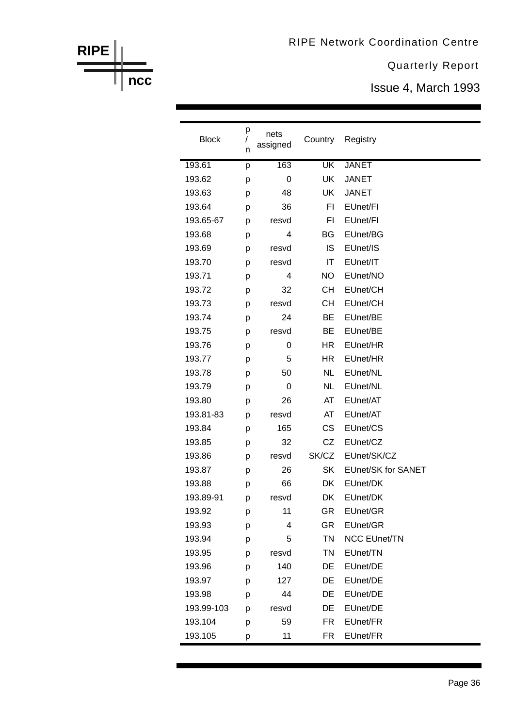Issue 4, March 1993

| <b>Block</b> | р<br>$\sqrt{2}$<br>n | nets<br>assigned | Country                | Registry                  |
|--------------|----------------------|------------------|------------------------|---------------------------|
| 193.61       | р                    | 163              | $\overline{\text{UK}}$ | <b>JANET</b>              |
| 193.62       | p                    | 0                | <b>UK</b>              | <b>JANET</b>              |
| 193.63       | р                    | 48               | UK                     | <b>JANET</b>              |
| 193.64       | р                    | 36               | FI                     | EUnet/FI                  |
| 193.65-67    | p                    | resvd            | FI                     | EUnet/FI                  |
| 193.68       | р                    | 4                | <b>BG</b>              | EUnet/BG                  |
| 193.69       | р                    | resvd            | <b>IS</b>              | EUnet/IS                  |
| 193.70       | p                    | resvd            | IT                     | EUnet/IT                  |
| 193.71       | р                    | 4                | <b>NO</b>              | EUnet/NO                  |
| 193.72       | р                    | 32               | <b>CH</b>              | EUnet/CH                  |
| 193.73       | p                    | resvd            | CН                     | EUnet/CH                  |
| 193.74       | р                    | 24               | BE                     | EUnet/BE                  |
| 193.75       | р                    | resvd            | BE                     | EUnet/BE                  |
| 193.76       | р                    | 0                | HR                     | EUnet/HR                  |
| 193.77       | р                    | 5                | HR                     | EUnet/HR                  |
| 193.78       | р                    | 50               | <b>NL</b>              | EUnet/NL                  |
| 193.79       | р                    | 0                | <b>NL</b>              | EUnet/NL                  |
| 193.80       | р                    | 26               | AT                     | EUnet/AT                  |
| 193.81-83    | p                    | resvd            | AT                     | EUnet/AT                  |
| 193.84       | р                    | 165              | <b>CS</b>              | EUnet/CS                  |
| 193.85       | р                    | 32               | CZ                     | EUnet/CZ                  |
| 193.86       | р                    | resvd            | SK/CZ                  | EUnet/SK/CZ               |
| 193.87       | р                    | 26               | <b>SK</b>              | <b>EUnet/SK for SANET</b> |
| 193.88       | р                    | 66               | DK                     | EUnet/DK                  |
| 193.89-91    | р                    | resvd            | DK                     | EUnet/DK                  |
| 193.92       | p                    | 11               | <b>GR</b>              | EUnet/GR                  |
| 193.93       | p                    | 4                | <b>GR</b>              | EUnet/GR                  |
| 193.94       | р                    | 5                | <b>TN</b>              | <b>NCC EUnet/TN</b>       |
| 193.95       | p                    | resvd            | <b>TN</b>              | EUnet/TN                  |
| 193.96       | p                    | 140              | DE                     | EUnet/DE                  |
| 193.97       | р                    | 127              | DE                     | EUnet/DE                  |
| 193.98       | p                    | 44               | DE                     | EUnet/DE                  |
| 193.99-103   | p                    | resvd            | DE                     | EUnet/DE                  |
| 193.104      | р                    | 59               | FR.                    | EUnet/FR                  |
| 193.105      | р                    | 11               | FR.                    | EUnet/FR                  |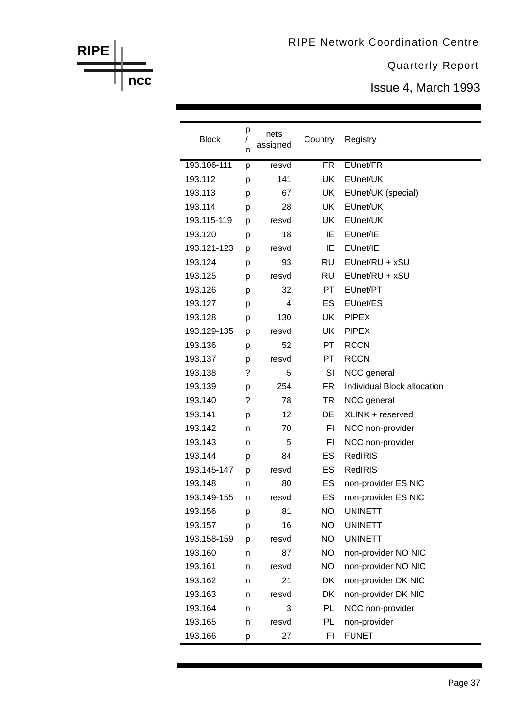Issue 4, March 1993

| <b>Block</b> | р<br>$\prime$<br>n | nets<br>assigned | Country   | Registry                    |
|--------------|--------------------|------------------|-----------|-----------------------------|
| 193.106-111  | p                  | resvd            | FR        | EUnet/FR                    |
| 193.112      | p                  | 141              | UK        | EUnet/UK                    |
| 193.113      | р                  | 67               | UK        | EUnet/UK (special)          |
| 193.114      | р                  | 28               | UK        | EUnet/UK                    |
| 193.115-119  | p                  | resvd            | UK        | EUnet/UK                    |
| 193.120      | p                  | 18               | ΙE        | EUnet/IE                    |
| 193.121-123  | p                  | resvd            | IE        | EUnet/IE                    |
| 193.124      | р                  | 93               | RU        | EUnet/RU + xSU              |
| 193.125      | р                  | resvd            | RU        | EUnet/RU + xSU              |
| 193.126      | р                  | 32               | PT.       | EUnet/PT                    |
| 193.127      | р                  | 4                | ES        | EUnet/ES                    |
| 193.128      | p                  | 130              | UK        | <b>PIPEX</b>                |
| 193.129-135  | p                  | resvd            | UK        | <b>PIPEX</b>                |
| 193.136      | р                  | 52               | PT.       | <b>RCCN</b>                 |
| 193.137      | р                  | resvd            | PT.       | <b>RCCN</b>                 |
| 193.138      | ?                  | 5                | SI        | NCC general                 |
| 193.139      | p                  | 254              | FR.       | Individual Block allocation |
| 193.140      | ?                  | 78               | TR        | NCC general                 |
| 193.141      | р                  | 12               | DE        | XLINK + reserved            |
| 193.142      | n                  | 70               | FI        | NCC non-provider            |
| 193.143      | n                  | 5                | FI        | NCC non-provider            |
| 193.144      | р                  | 84               | ES        | <b>RedIRIS</b>              |
| 193.145-147  | р                  | resvd            | ES        | <b>RedIRIS</b>              |
| 193.148      | n                  | 80               | ES        | non-provider ES NIC         |
| 193.149-155  | n                  | resvd            | ES        | non-provider ES NIC         |
| 193.156      | р                  | 81               | <b>NO</b> | <b>UNINETT</b>              |
| 193.157      | р                  | 16               | <b>NO</b> | <b>UNINETT</b>              |
| 193.158-159  | p                  | resvd            | <b>NO</b> | <b>UNINETT</b>              |
| 193.160      | n                  | 87               | <b>NO</b> | non-provider NO NIC         |
| 193.161      | n                  | resvd            | <b>NO</b> | non-provider NO NIC         |
| 193.162      | n                  | 21               | DK        | non-provider DK NIC         |
| 193.163      | n                  | resvd            | DK        | non-provider DK NIC         |
| 193.164      | n                  | 3                | PL        | NCC non-provider            |
| 193.165      | n                  | resvd            | PL        | non-provider                |
| 193.166      | р                  | 27               | FI.       | <b>FUNET</b>                |

**ncc**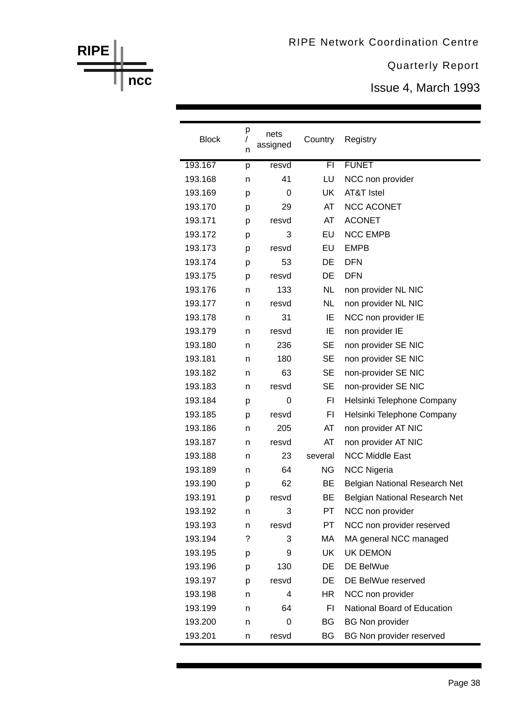Issue 4, March 1993

| <b>Block</b> | р<br>T<br>n | nets<br>assigned | Country         | Registry                      |
|--------------|-------------|------------------|-----------------|-------------------------------|
| 193.167      | p           | resvd            | $\overline{FI}$ | <b>FUNET</b>                  |
| 193.168      | n           | 41               | LU              | NCC non provider              |
| 193.169      | р           | 0                | UK              | <b>AT&amp;T Istel</b>         |
| 193.170      | р           | 29               | AT              | <b>NCC ACONET</b>             |
| 193.171      | р           | resvd            | AT              | <b>ACONET</b>                 |
| 193.172      | р           | 3                | EU              | <b>NCC EMPB</b>               |
| 193.173      | р           | resvd            | EU              | <b>EMPB</b>                   |
| 193.174      | р           | 53               | DE              | <b>DFN</b>                    |
| 193.175      | р           | resvd            | DE              | <b>DFN</b>                    |
| 193.176      | n           | 133              | <b>NL</b>       | non provider NL NIC           |
| 193.177      | n           | resvd            | <b>NL</b>       | non provider NL NIC           |
| 193.178      | n           | 31               | ΙE              | NCC non provider IE           |
| 193.179      | n           | resvd            | IE              | non provider IE               |
| 193.180      | n           | 236              | <b>SE</b>       | non provider SE NIC           |
| 193.181      | n           | 180              | <b>SE</b>       | non provider SE NIC           |
| 193.182      | n           | 63               | <b>SE</b>       | non-provider SE NIC           |
| 193.183      | n           | resvd            | SE              | non-provider SE NIC           |
| 193.184      | р           | 0                | FI              | Helsinki Telephone Company    |
| 193.185      | р           | resvd            | FI.             | Helsinki Telephone Company    |
| 193.186      | n           | 205              | AT              | non provider AT NIC           |
| 193.187      | n           | resvd            | AT              | non provider AT NIC           |
| 193.188      | n           | 23               | several         | <b>NCC Middle East</b>        |
| 193.189      | n           | 64               | <b>NG</b>       | <b>NCC Nigeria</b>            |
| 193.190      | р           | 62               | BE              | Belgian National Research Net |
| 193.191      | р           | resvd            | BE              | Belgian National Research Net |
| 193.192      | n           | 3                | PT.             | NCC non provider              |
| 193.193      | n           | resvd            | PT.             | NCC non provider reserved     |
| 193.194      | ?           | 3                | MA              | MA general NCC managed        |
| 193.195      | р           | 9                | <b>UK</b>       | <b>UK DEMON</b>               |
| 193.196      | р           | 130              | DE              | DE BelWue                     |
| 193.197      | p           | resvd            | DE              | DE BelWue reserved            |
| 193.198      | n           | 4                | HR              | NCC non provider              |
| 193.199      | n           | 64               | FI              | National Board of Education   |
| 193.200      | n           | 0                | BG              | <b>BG Non provider</b>        |
| 193.201      | n           | resvd            | BG              | BG Non provider reserved      |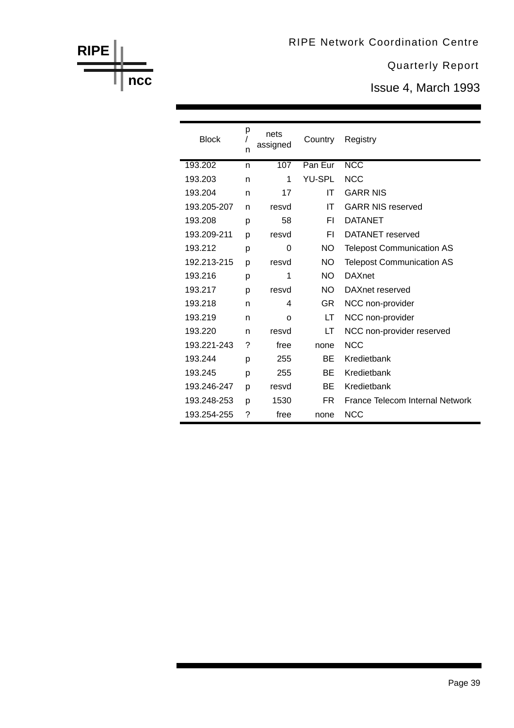Issue 4, March 1993

| <b>Block</b> | р<br>n | nets<br>assigned | Country   | Registry                         |
|--------------|--------|------------------|-----------|----------------------------------|
| 193.202      | n      | 107              | Pan Eur   | <b>NCC</b>                       |
| 193.203      | n      | 1                | YU-SPL    | <b>NCC</b>                       |
| 193.204      | n      | 17               | ΙT        | <b>GARR NIS</b>                  |
| 193.205-207  | n      | resvd            | ΙT        | <b>GARR NIS reserved</b>         |
| 193.208      | р      | 58               | FΙ        | DATANET                          |
| 193.209-211  | p      | resvd            | FI        | DATANET reserved                 |
| 193.212      | р      | 0                | <b>NO</b> | <b>Telepost Communication AS</b> |
| 192.213-215  | р      | resvd            | <b>NO</b> | <b>Telepost Communication AS</b> |
| 193.216      | р      | 1                | NO.       | <b>DAXnet</b>                    |
| 193.217      | p      | resvd            | <b>NO</b> | DAXnet reserved                  |
| 193.218      | n      | 4                | GR.       | NCC non-provider                 |
| 193.219      | n      | O                | LT        | NCC non-provider                 |
| 193.220      | n      | resvd            | LT        | NCC non-provider reserved        |
| 193.221-243  | ?      | free             | none      | <b>NCC</b>                       |
| 193.244      | р      | 255              | ВE        | Kredietbank                      |
| 193.245      | р      | 255              | <b>BE</b> | Kredietbank                      |
| 193.246-247  | р      | resvd            | <b>BE</b> | Kredietbank                      |
| 193.248-253  | p      | 1530             | FR        | France Telecom Internal Network  |
| 193.254-255  | ?      | free             | none      | <b>NCC</b>                       |

**ncc**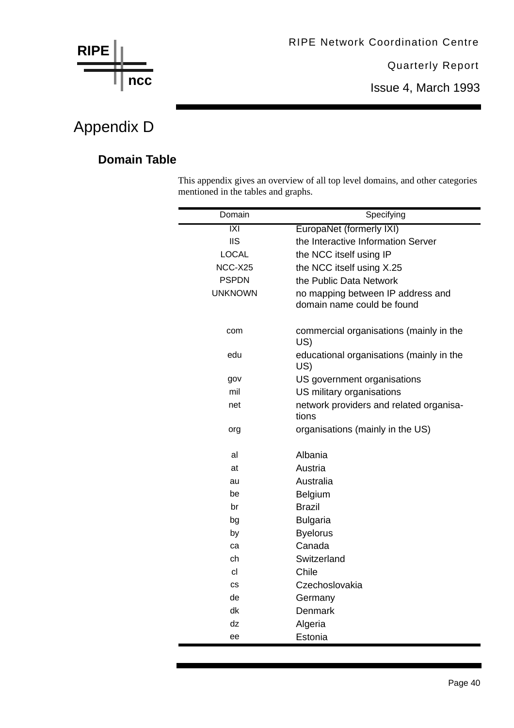

Issue 4, March 1993

## Appendix D

#### **Domain Table**

This appendix gives an overview of all top level domains, and other categories mentioned in the tables and graphs.

| Domain         | Specifying                                      |
|----------------|-------------------------------------------------|
| IXI            | EuropaNet (formerly IXI)                        |
| <b>IIS</b>     | the Interactive Information Server              |
| <b>LOCAL</b>   | the NCC itself using IP                         |
| NCC-X25        | the NCC itself using X.25                       |
| <b>PSPDN</b>   | the Public Data Network                         |
| <b>UNKNOWN</b> | no mapping between IP address and               |
|                | domain name could be found                      |
| com            | commercial organisations (mainly in the<br>US)  |
| edu            | educational organisations (mainly in the<br>US) |
| gov            | US government organisations                     |
| mil            | US military organisations                       |
| net            | network providers and related organisa-         |
|                | tions                                           |
| org            | organisations (mainly in the US)                |
| al             | Albania                                         |
| at             | Austria                                         |
| au             | Australia                                       |
| be             | Belgium                                         |
| br             | <b>Brazil</b>                                   |
| bg             | <b>Bulgaria</b>                                 |
| by             | <b>Byelorus</b>                                 |
| ca             | Canada                                          |
| ch             | Switzerland                                     |
| cl             | Chile                                           |
| <b>CS</b>      | Czechoslovakia                                  |
| de             | Germany                                         |
| dk             | <b>Denmark</b>                                  |
| dz             | Algeria                                         |
| ee             | Estonia                                         |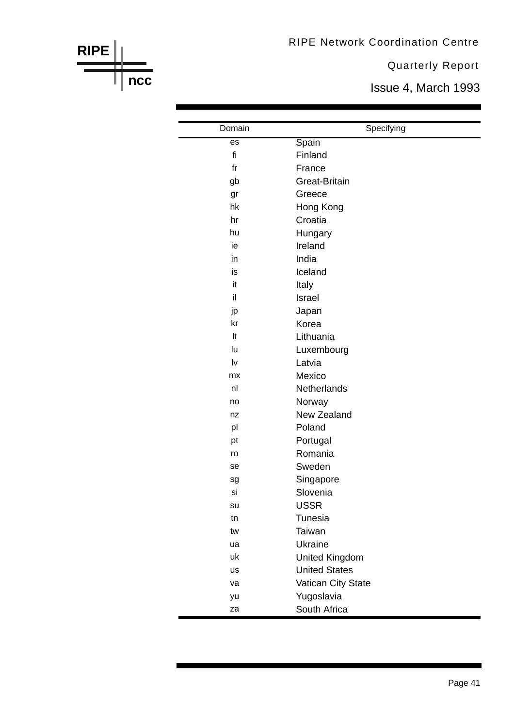#### RIPE Network Coordination Centre

**RIPE**

**ncc**

Quarterly Report

Issue 4, March 1993

| Domain         | Specifying            |
|----------------|-----------------------|
| es             | Spain                 |
| fi             | Finland               |
| $f$ r          | France                |
| gb             | Great-Britain         |
| gr             | Greece                |
| hk             | Hong Kong             |
| hr             | Croatia               |
| hu             | Hungary               |
| ie             | Ireland               |
| in             | India                 |
| is             | Iceland               |
| it             | Italy                 |
| il             | <b>Israel</b>         |
| jp             | Japan                 |
| kr             | Korea                 |
| It             | Lithuania             |
| lu             | Luxembourg            |
| Iv             | Latvia                |
| m <sub>x</sub> | Mexico                |
| n <sub>l</sub> | Netherlands           |
| no             | Norway                |
| nz             | New Zealand           |
| pl             | Poland                |
| pt             | Portugal              |
| ro             | Romania               |
| se             | Sweden                |
| sg             | Singapore             |
| si             | Slovenia              |
| su             | <b>USSR</b>           |
| tn             | <b>Tunesia</b>        |
| tw             | Taiwan                |
| ua             | Ukraine               |
| uk             | <b>United Kingdom</b> |
| <b>us</b>      | <b>United States</b>  |
| va             | Vatican City State    |
| yu             | Yugoslavia            |
| za             | South Africa          |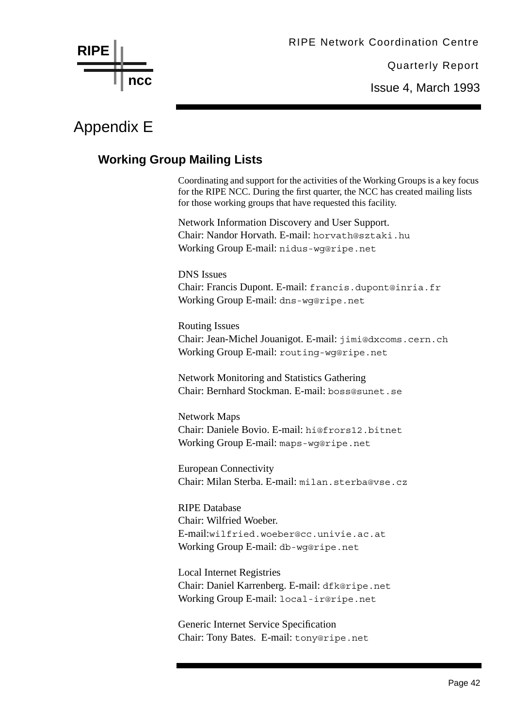

Issue 4, March 1993

## Appendix E

#### **Working Group Mailing Lists**

Coordinating and support for the activities of the Working Groups is a key focus for the RIPE NCC. During the first quarter, the NCC has created mailing lists for those working groups that have requested this facility.

Network Information Discovery and User Support. Chair: Nandor Horvath. E-mail: horvath@sztaki.hu Working Group E-mail: nidus-wg@ripe.net

DNS Issues Chair: Francis Dupont. E-mail: francis.dupont@inria.fr Working Group E-mail: dns-wg@ripe.net

Routing Issues Chair: Jean-Michel Jouanigot. E-mail: jimi@dxcoms.cern.ch Working Group E-mail: routing-wg@ripe.net

Network Monitoring and Statistics Gathering Chair: Bernhard Stockman. E-mail: boss@sunet.se

Network Maps Chair: Daniele Bovio. E-mail: hi@frors12.bitnet Working Group E-mail: maps-wg@ripe.net

European Connectivity Chair: Milan Sterba. E-mail: milan.sterba@vse.cz

RIPE Database Chair: Wilfried Woeber. E-mail:wilfried.woeber@cc.univie.ac.at Working Group E-mail: db-wg@ripe.net

Local Internet Registries Chair: Daniel Karrenberg. E-mail: dfk@ripe.net Working Group E-mail: local-ir@ripe.net

Generic Internet Service Specification Chair: Tony Bates. E-mail: tony@ripe.net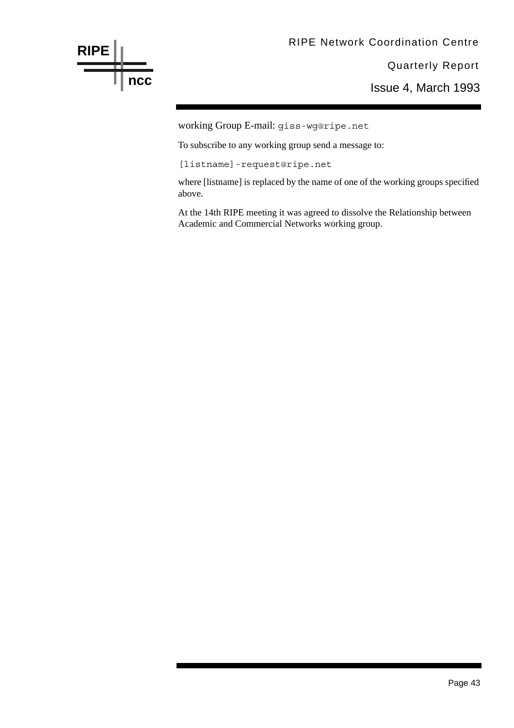

#### RIPE Network Coordination Centre

Quarterly Report

Issue 4, March 1993

working Group E-mail: giss-wg@ripe.net

To subscribe to any working group send a message to:

[listname]-request@ripe.net

where [listname] is replaced by the name of one of the working groups specified above.

At the 14th RIPE meeting it was agreed to dissolve the Relationship between Academic and Commercial Networks working group.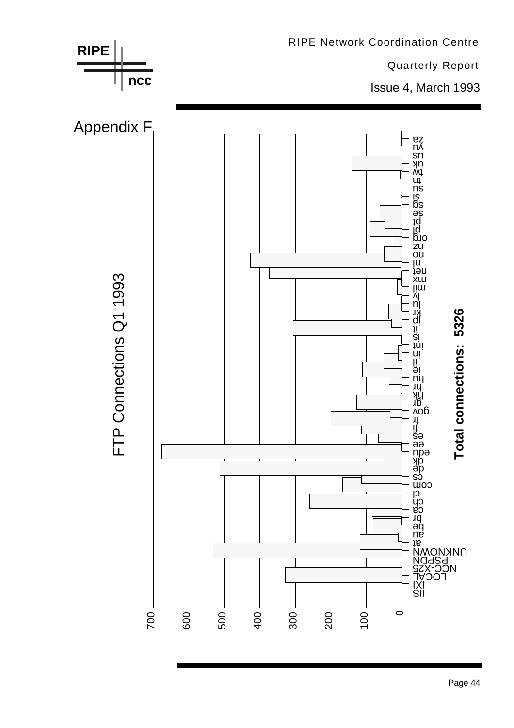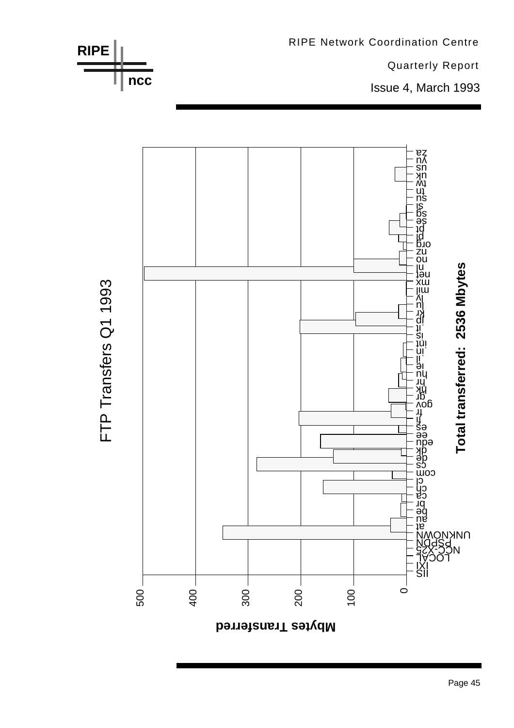

Page 45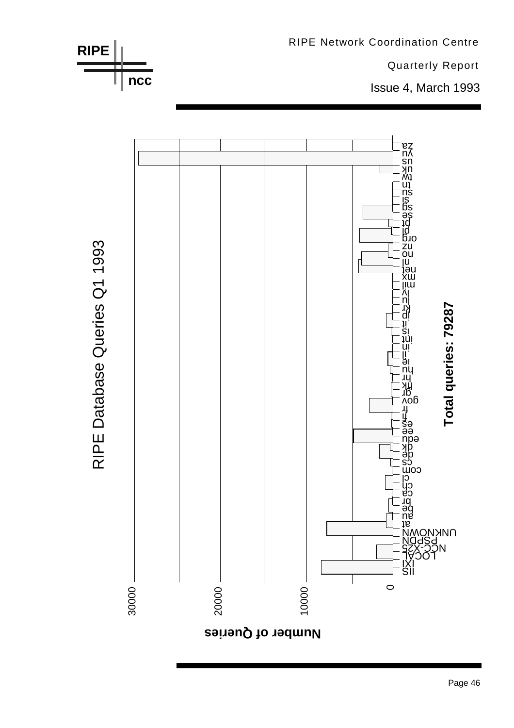

**RIPE**

RIPE Network Coordination Centre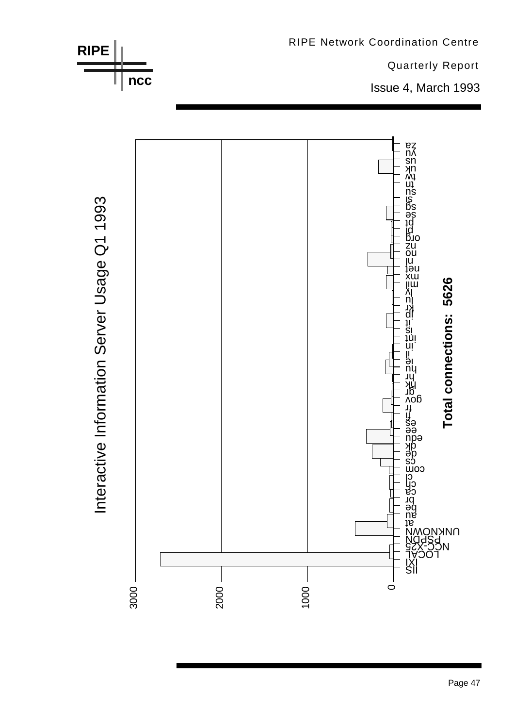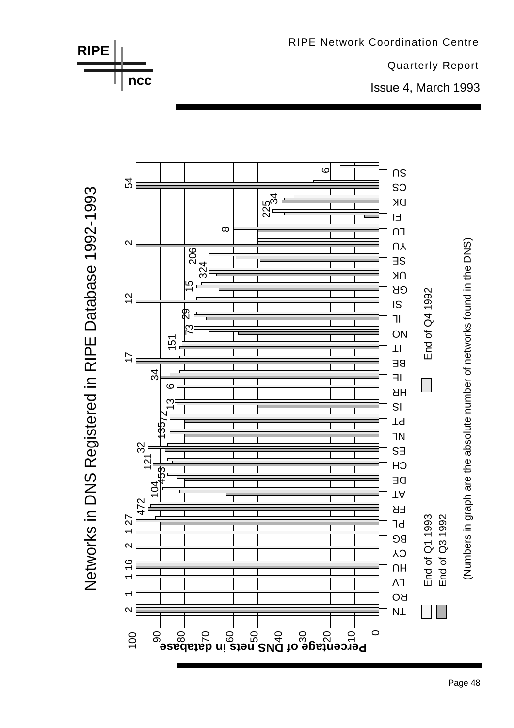

**RIPE**

**ncc**

RIPE Network Coordination Centre

Quarterly Report

Issue 4, March 1993